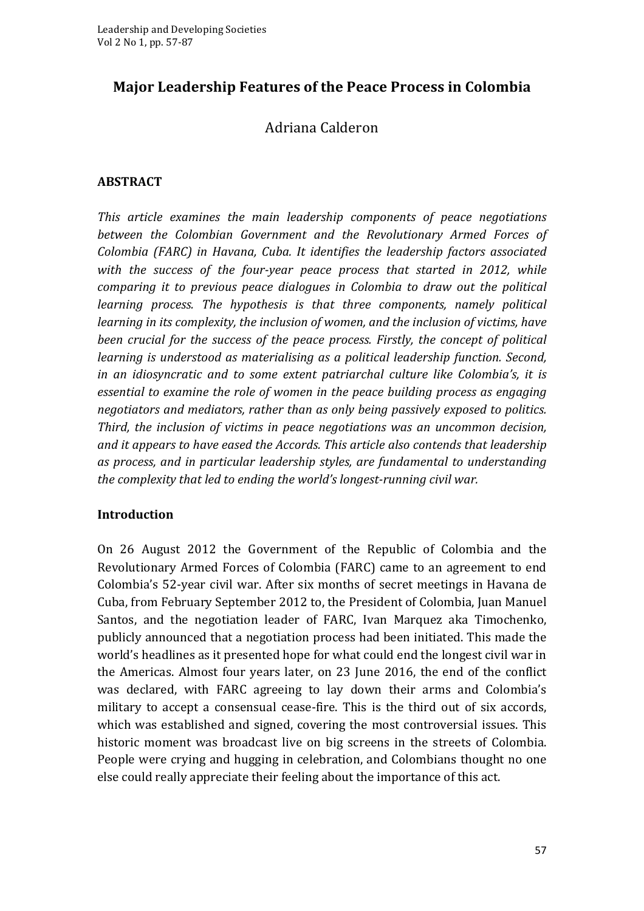# **Major Leadership Features of the Peace Process in Colombia**

# Adriana Calderon

#### **ABSTRACT**

*This article examines the main leadership components of peace negotiations* between the Colombian Government and the Revolutionary Armed Forces of *Colombia (FARC)* in Havana, Cuba. It identifies the leadership factors associated with the success of the four-year peace process that started in 2012, while *comparing it to previous peace dialogues in Colombia to draw out the political learning process. The hypothesis is that three components, namely political learning in its complexity, the inclusion of women, and the inclusion of victims, have been crucial for the success of the peace process. Firstly, the concept of political learning is understood as materialising as a political leadership function. Second, in* an idiosyncratic and to some extent patriarchal culture like Colombia's, it is *essential to examine the role of women in the peace building process as engaging negotiators and mediators, rather than as only being passively exposed to politics. Third, the inclusion of victims in peace negotiations was an uncommon decision,* and it appears to have eased the Accords. This article also contends that leadership as process, and in particular leadership styles, are fundamental to understanding *the complexity that led to ending the world's longest-running civil war.* 

#### **Introduction**

On 26 August 2012 the Government of the Republic of Colombia and the Revolutionary Armed Forces of Colombia (FARC) came to an agreement to end Colombia's 52-year civil war. After six months of secret meetings in Havana de Cuba, from February September 2012 to, the President of Colombia, Juan Manuel Santos, and the negotiation leader of FARC, Ivan Marquez aka Timochenko, publicly announced that a negotiation process had been initiated. This made the world's headlines as it presented hope for what could end the longest civil war in the Americas. Almost four years later, on 23 June 2016, the end of the conflict was declared, with FARC agreeing to lay down their arms and Colombia's military to accept a consensual cease-fire. This is the third out of six accords, which was established and signed, covering the most controversial issues. This historic moment was broadcast live on big screens in the streets of Colombia. People were crying and hugging in celebration, and Colombians thought no one else could really appreciate their feeling about the importance of this act.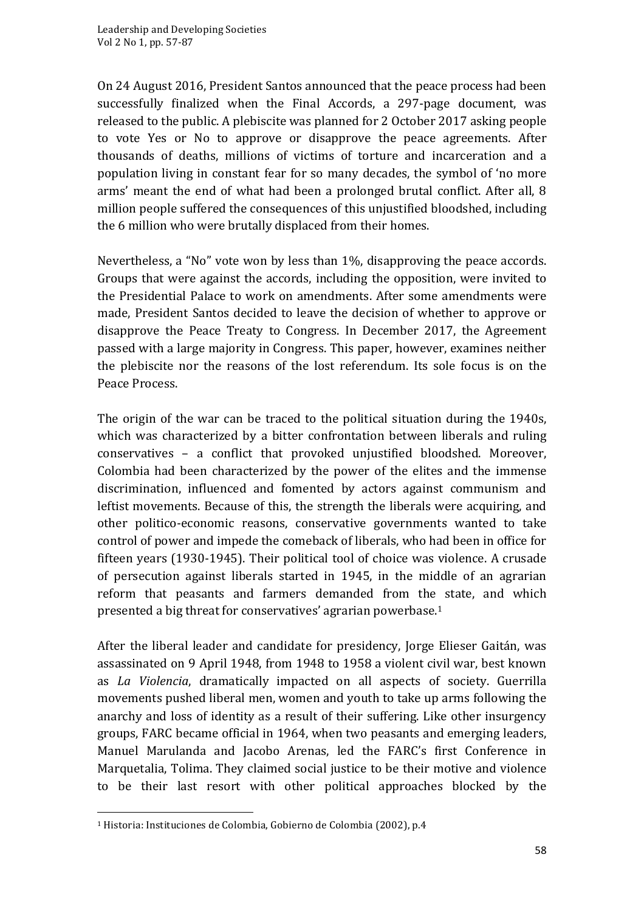On 24 August 2016, President Santos announced that the peace process had been successfully finalized when the Final Accords, a 297-page document, was released to the public. A plebiscite was planned for 2 October 2017 asking people to vote Yes or No to approve or disapprove the peace agreements. After thousands of deaths, millions of victims of torture and incarceration and a population living in constant fear for so many decades, the symbol of 'no more arms' meant the end of what had been a prolonged brutal conflict. After all, 8 million people suffered the consequences of this unjustified bloodshed, including the 6 million who were brutally displaced from their homes.

Nevertheless, a "No" vote won by less than  $1\%$ , disapproving the peace accords. Groups that were against the accords, including the opposition, were invited to the Presidential Palace to work on amendments. After some amendments were made, President Santos decided to leave the decision of whether to approve or disapprove the Peace Treaty to Congress. In December 2017, the Agreement passed with a large majority in Congress. This paper, however, examines neither the plebiscite nor the reasons of the lost referendum. Its sole focus is on the Peace Process.

The origin of the war can be traced to the political situation during the 1940s, which was characterized by a bitter confrontation between liberals and ruling conservatives - a conflict that provoked unjustified bloodshed. Moreover, Colombia had been characterized by the power of the elites and the immense discrimination, influenced and fomented by actors against communism and leftist movements. Because of this, the strength the liberals were acquiring, and other politico-economic reasons, conservative governments wanted to take control of power and impede the comeback of liberals, who had been in office for fifteen years (1930-1945). Their political tool of choice was violence. A crusade of persecution against liberals started in 1945, in the middle of an agrarian reform that peasants and farmers demanded from the state, and which presented a big threat for conservatives' agrarian powerbase.<sup>1</sup>

After the liberal leader and candidate for presidency, Jorge Elieser Gaitán, was assassinated on 9 April 1948, from 1948 to 1958 a violent civil war, best known as *La Violencia*, dramatically impacted on all aspects of society. Guerrilla movements pushed liberal men, women and youth to take up arms following the anarchy and loss of identity as a result of their suffering. Like other insurgency groups, FARC became official in 1964, when two peasants and emerging leaders, Manuel Marulanda and Jacobo Arenas, led the FARC's first Conference in Marquetalia, Tolima. They claimed social justice to be their motive and violence to be their last resort with other political approaches blocked by the

 

<sup>&</sup>lt;sup>1</sup> Historia: Instituciones de Colombia, Gobierno de Colombia (2002), p.4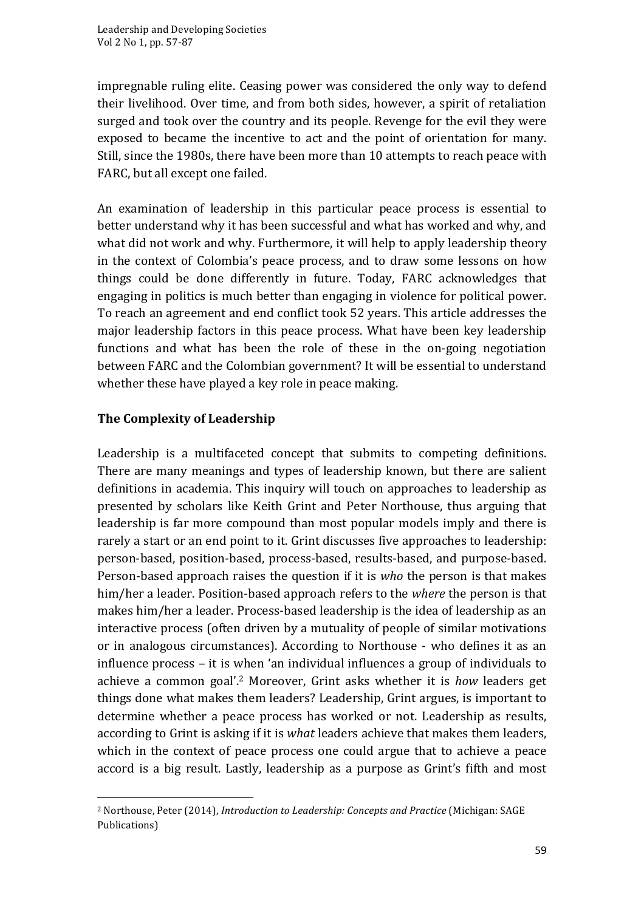impregnable ruling elite. Ceasing power was considered the only way to defend their livelihood. Over time, and from both sides, however, a spirit of retaliation surged and took over the country and its people. Revenge for the evil they were exposed to became the incentive to act and the point of orientation for many. Still, since the 1980s, there have been more than 10 attempts to reach peace with FARC, but all except one failed.

An examination of leadership in this particular peace process is essential to better understand why it has been successful and what has worked and why, and what did not work and why. Furthermore, it will help to apply leadership theory in the context of Colombia's peace process, and to draw some lessons on how things could be done differently in future. Today, FARC acknowledges that engaging in politics is much better than engaging in violence for political power. To reach an agreement and end conflict took 52 years. This article addresses the major leadership factors in this peace process. What have been key leadership functions and what has been the role of these in the on-going negotiation between FARC and the Colombian government? It will be essential to understand whether these have played a key role in peace making.

# **The Complexity of Leadership**

<u> 1989 - Johann Barn, mars ann an t-Amhain an t-Amhain an t-Amhain an t-Amhain an t-Amhain an t-Amhain an t-Amh</u>

Leadership is a multifaceted concept that submits to competing definitions. There are many meanings and types of leadership known, but there are salient definitions in academia. This inquiry will touch on approaches to leadership as presented by scholars like Keith Grint and Peter Northouse, thus arguing that leadership is far more compound than most popular models imply and there is rarely a start or an end point to it. Grint discusses five approaches to leadership: person-based, position-based, process-based, results-based, and purpose-based. Person-based approach raises the question if it is *who* the person is that makes him/her a leader. Position-based approach refers to the *where* the person is that makes him/her a leader. Process-based leadership is the idea of leadership as an interactive process (often driven by a mutuality of people of similar motivations or in analogous circumstances). According to Northouse - who defines it as an influence process  $-$  it is when 'an individual influences a group of individuals to achieve a common goal'.<sup>2</sup> Moreover, Grint asks whether it is *how* leaders get things done what makes them leaders? Leadership, Grint argues, is important to determine whether a peace process has worked or not. Leadership as results, according to Grint is asking if it is *what* leaders achieve that makes them leaders, which in the context of peace process one could argue that to achieve a peace accord is a big result. Lastly, leadership as a purpose as Grint's fifth and most

<sup>&</sup>lt;sup>2</sup> Northouse, Peter (2014), *Introduction to Leadership: Concepts and Practice* (Michigan: SAGE Publications)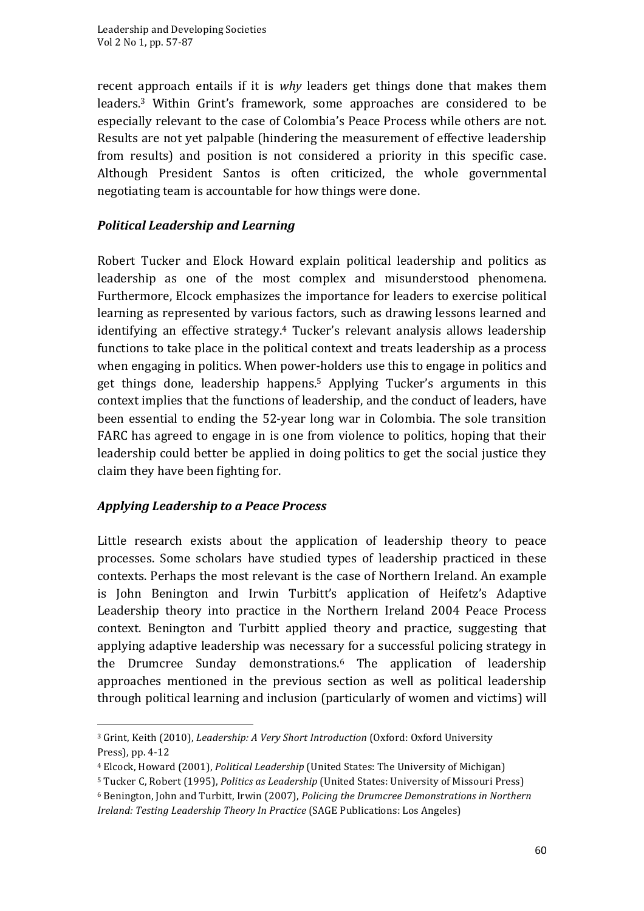recent approach entails if it is *why* leaders get things done that makes them leaders.<sup>3</sup> Within Grint's framework, some approaches are considered to be especially relevant to the case of Colombia's Peace Process while others are not. Results are not yet palpable (hindering the measurement of effective leadership from results) and position is not considered a priority in this specific case. Although President Santos is often criticized, the whole governmental negotiating team is accountable for how things were done.

# *Political Leadership and Learning*

Robert Tucker and Elock Howard explain political leadership and politics as leadership as one of the most complex and misunderstood phenomena. Furthermore, Elcock emphasizes the importance for leaders to exercise political learning as represented by various factors, such as drawing lessons learned and identifying an effective strategy.<sup>4</sup> Tucker's relevant analysis allows leadership functions to take place in the political context and treats leadership as a process when engaging in politics. When power-holders use this to engage in politics and get things done, leadership happens.<sup>5</sup> Applying Tucker's arguments in this context implies that the functions of leadership, and the conduct of leaders, have been essential to ending the 52-year long war in Colombia. The sole transition FARC has agreed to engage in is one from violence to politics, hoping that their leadership could better be applied in doing politics to get the social justice they claim they have been fighting for.

# *Applying Leadership to a Peace Process*

<u> 1989 - Johann Barn, mars ann an t-Amhain an t-Amhain an t-Amhain an t-Amhain an t-Amhain an t-Amhain an t-Amh</u>

Little research exists about the application of leadership theory to peace processes. Some scholars have studied types of leadership practiced in these contexts. Perhaps the most relevant is the case of Northern Ireland. An example is John Benington and Irwin Turbitt's application of Heifetz's Adaptive Leadership theory into practice in the Northern Ireland 2004 Peace Process context. Benington and Turbitt applied theory and practice, suggesting that applying adaptive leadership was necessary for a successful policing strategy in the Drumcree Sunday demonstrations.<sup>6</sup> The application of leadership approaches mentioned in the previous section as well as political leadership through political learning and inclusion (particularly of women and victims) will

<sup>&</sup>lt;sup>3</sup> Grint, Keith (2010), *Leadership: A Very Short Introduction* (Oxford: Oxford University Press), pp. 4-12

<sup>&</sup>lt;sup>4</sup> Elcock, Howard (2001), *Political Leadership* (United States: The University of Michigan)

<sup>&</sup>lt;sup>5</sup> Tucker C, Robert (1995), *Politics as Leadership* (United States: University of Missouri Press)

<sup>&</sup>lt;sup>6</sup> Benington, John and Turbitt, Irwin (2007), *Policing the Drumcree Demonstrations in Northern Ireland: Testing Leadership Theory In Practice* (SAGE Publications: Los Angeles)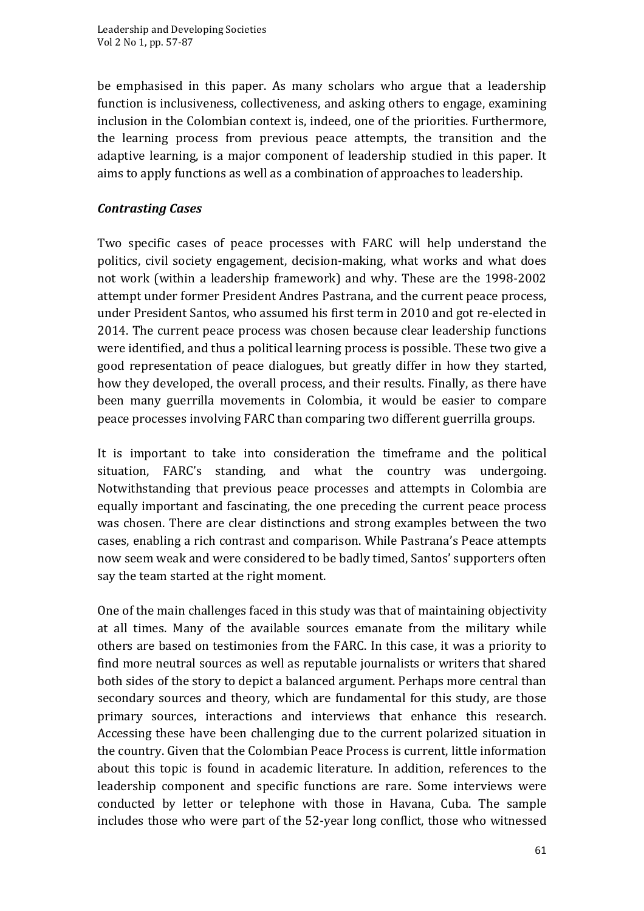be emphasised in this paper. As many scholars who argue that a leadership function is inclusiveness, collectiveness, and asking others to engage, examining inclusion in the Colombian context is, indeed, one of the priorities. Furthermore, the learning process from previous peace attempts, the transition and the adaptive learning, is a major component of leadership studied in this paper. It aims to apply functions as well as a combination of approaches to leadership.

### *Contrasting Cases*

Two specific cases of peace processes with FARC will help understand the politics, civil society engagement, decision-making, what works and what does not work (within a leadership framework) and why. These are the 1998-2002 attempt under former President Andres Pastrana, and the current peace process, under President Santos, who assumed his first term in 2010 and got re-elected in 2014. The current peace process was chosen because clear leadership functions were identified, and thus a political learning process is possible. These two give a good representation of peace dialogues, but greatly differ in how they started, how they developed, the overall process, and their results. Finally, as there have been many guerrilla movements in Colombia, it would be easier to compare peace processes involving FARC than comparing two different guerrilla groups.

It is important to take into consideration the timeframe and the political situation, FARC's standing, and what the country was undergoing. Notwithstanding that previous peace processes and attempts in Colombia are equally important and fascinating, the one preceding the current peace process was chosen. There are clear distinctions and strong examples between the two cases, enabling a rich contrast and comparison. While Pastrana's Peace attempts now seem weak and were considered to be badly timed, Santos' supporters often say the team started at the right moment.

One of the main challenges faced in this study was that of maintaining objectivity at all times. Many of the available sources emanate from the military while others are based on testimonies from the FARC. In this case, it was a priority to find more neutral sources as well as reputable journalists or writers that shared both sides of the story to depict a balanced argument. Perhaps more central than secondary sources and theory, which are fundamental for this study, are those primary sources, interactions and interviews that enhance this research. Accessing these have been challenging due to the current polarized situation in the country. Given that the Colombian Peace Process is current, little information about this topic is found in academic literature. In addition, references to the leadership component and specific functions are rare. Some interviews were conducted by letter or telephone with those in Havana, Cuba. The sample includes those who were part of the 52-year long conflict, those who witnessed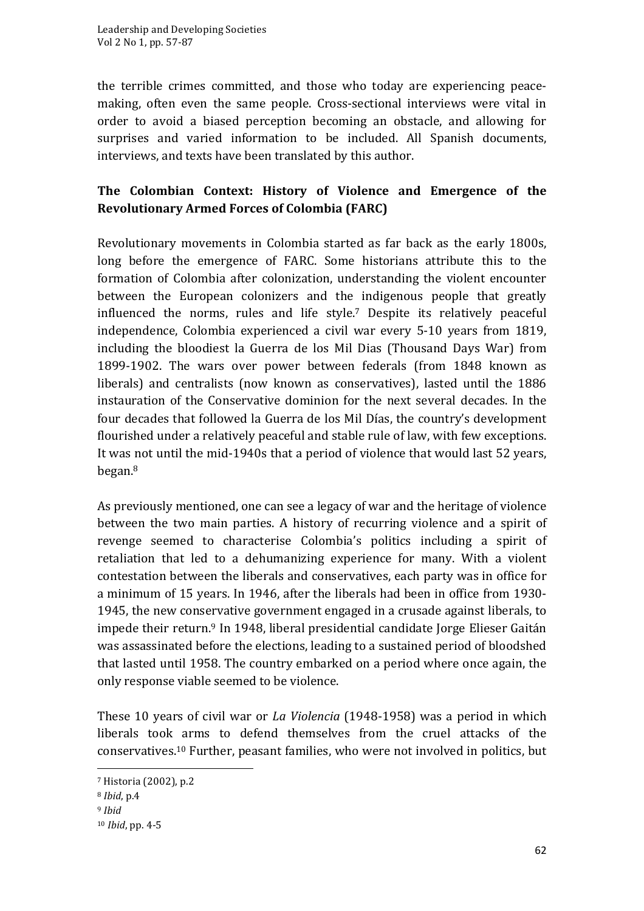the terrible crimes committed, and those who today are experiencing peacemaking, often even the same people. Cross-sectional interviews were vital in order to avoid a biased perception becoming an obstacle, and allowing for surprises and varied information to be included. All Spanish documents, interviews, and texts have been translated by this author.

# The Colombian Context: History of Violence and Emergence of the **Revolutionary Armed Forces of Colombia (FARC)**

Revolutionary movements in Colombia started as far back as the early 1800s, long before the emergence of FARC. Some historians attribute this to the formation of Colombia after colonization, understanding the violent encounter between the European colonizers and the indigenous people that greatly influenced the norms, rules and life style.<sup>7</sup> Despite its relatively peaceful independence, Colombia experienced a civil war every 5-10 years from 1819, including the bloodiest la Guerra de los Mil Dias (Thousand Days War) from 1899-1902. The wars over power between federals (from 1848 known as liberals) and centralists (now known as conservatives), lasted until the 1886 instauration of the Conservative dominion for the next several decades. In the four decades that followed la Guerra de los Mil Días, the country's development flourished under a relatively peaceful and stable rule of law, with few exceptions. It was not until the mid-1940s that a period of violence that would last 52 years, began.8

As previously mentioned, one can see a legacy of war and the heritage of violence between the two main parties. A history of recurring violence and a spirit of revenge seemed to characterise Colombia's politics including a spirit of retaliation that led to a dehumanizing experience for many. With a violent contestation between the liberals and conservatives, each party was in office for a minimum of 15 years. In 1946, after the liberals had been in office from 1930-1945, the new conservative government engaged in a crusade against liberals, to impede their return.<sup>9</sup> In 1948, liberal presidential candidate Jorge Elieser Gaitán was assassinated before the elections, leading to a sustained period of bloodshed that lasted until 1958. The country embarked on a period where once again, the only response viable seemed to be violence.

These 10 years of civil war or *La Violencia* (1948-1958) was a period in which liberals took arms to defend themselves from the cruel attacks of the conservatives.<sup>10</sup> Further, peasant families, who were not involved in politics, but

<sup>&</sup>lt;sup>7</sup> Historia (2002), p.2

<sup>8</sup> *Ibid*, p.4

<sup>9</sup> *Ibid*

<sup>10</sup> *Ibid*, pp. 4-5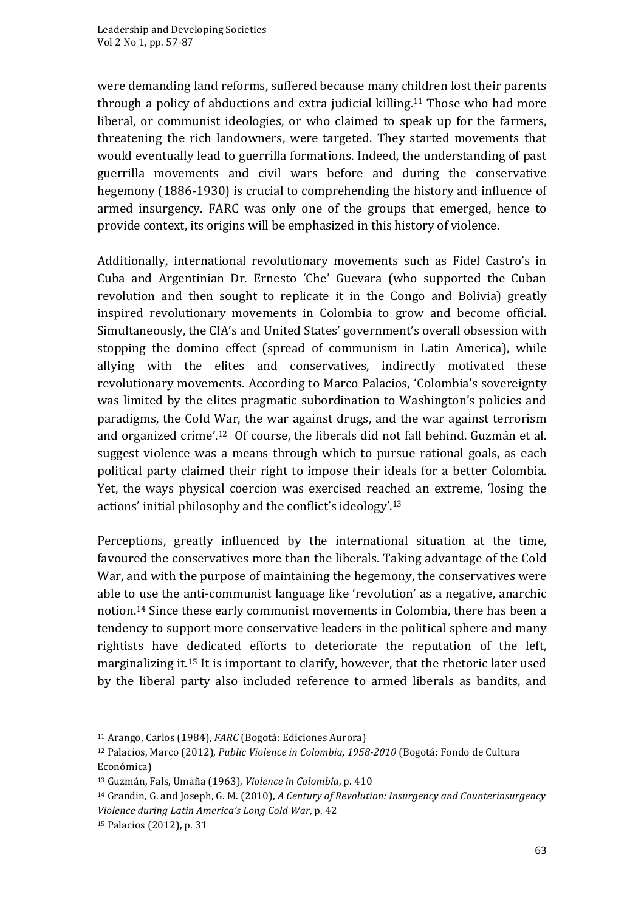were demanding land reforms, suffered because many children lost their parents through a policy of abductions and extra judicial killing.<sup>11</sup> Those who had more liberal, or communist ideologies, or who claimed to speak up for the farmers, threatening the rich landowners, were targeted. They started movements that would eventually lead to guerrilla formations. Indeed, the understanding of past guerrilla movements and civil wars before and during the conservative hegemony (1886-1930) is crucial to comprehending the history and influence of armed insurgency. FARC was only one of the groups that emerged, hence to provide context, its origins will be emphasized in this history of violence.

Additionally, international revolutionary movements such as Fidel Castro's in Cuba and Argentinian Dr. Ernesto 'Che' Guevara (who supported the Cuban revolution and then sought to replicate it in the Congo and Bolivia) greatly inspired revolutionary movements in Colombia to grow and become official. Simultaneously, the CIA's and United States' government's overall obsession with stopping the domino effect (spread of communism in Latin America), while allying with the elites and conservatives, indirectly motivated these revolutionary movements. According to Marco Palacios, 'Colombia's sovereignty was limited by the elites pragmatic subordination to Washington's policies and paradigms, the Cold War, the war against drugs, and the war against terrorism and organized crime'.<sup>12</sup> Of course, the liberals did not fall behind. Guzmán et al. suggest violence was a means through which to pursue rational goals, as each political party claimed their right to impose their ideals for a better Colombia. Yet, the ways physical coercion was exercised reached an extreme, 'losing the actions' initial philosophy and the conflict's ideology'.<sup>13</sup>

Perceptions, greatly influenced by the international situation at the time, favoured the conservatives more than the liberals. Taking advantage of the Cold War, and with the purpose of maintaining the hegemony, the conservatives were able to use the anti-communist language like 'revolution' as a negative, anarchic notion.<sup>14</sup> Since these early communist movements in Colombia, there has been a tendency to support more conservative leaders in the political sphere and many rightists have dedicated efforts to deteriorate the reputation of the left. marginalizing it.<sup>15</sup> It is important to clarify, however, that the rhetoric later used by the liberal party also included reference to armed liberals as bandits, and

<sup>&</sup>lt;sup>11</sup> Arango, Carlos (1984), *FARC* (Bogotá: Ediciones Aurora)

<sup>&</sup>lt;sup>12</sup> Palacios, Marco (2012), *Public Violence in Colombia, 1958-2010* (Bogotá: Fondo de Cultura Económica)

<sup>&</sup>lt;sup>13</sup> Guzmán, Fals, Umaña (1963), *Violence in Colombia*, p. 410

<sup>&</sup>lt;sup>14</sup> Grandin, G. and Joseph, G. M. (2010), *A Century of Revolution: Insurgency and Counterinsurgency Violence during Latin America's Long Cold War*, p. 42

<sup>&</sup>lt;sup>15</sup> Palacios (2012), p. 31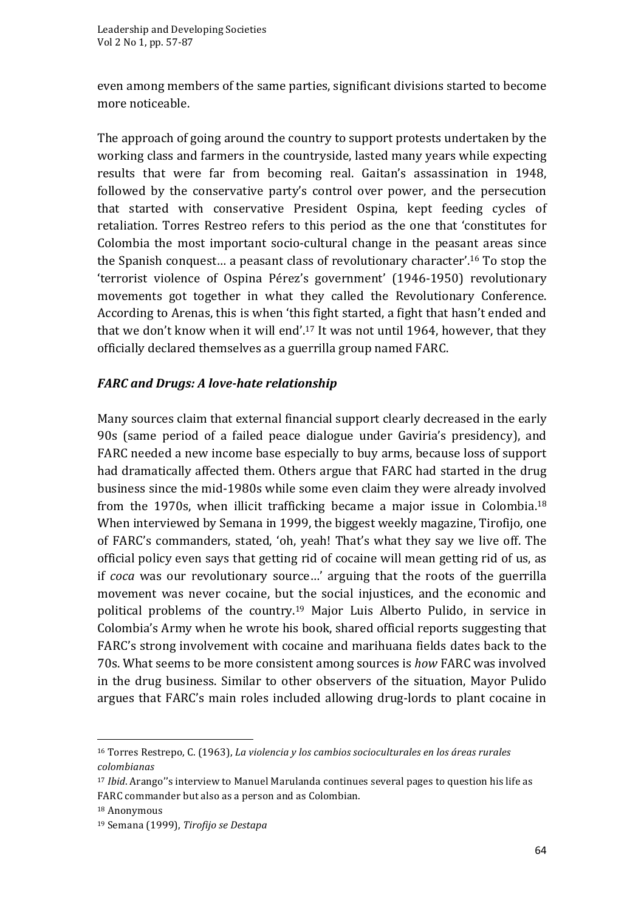even among members of the same parties, significant divisions started to become more noticeable.

The approach of going around the country to support protests undertaken by the working class and farmers in the countryside, lasted many years while expecting results that were far from becoming real. Gaitan's assassination in 1948, followed by the conservative party's control over power, and the persecution that started with conservative President Ospina, kept feeding cycles of retaliation. Torres Restreo refers to this period as the one that 'constitutes for Colombia the most important socio-cultural change in the peasant areas since the Spanish conquest... a peasant class of revolutionary character'.<sup>16</sup> To stop the 'terrorist violence of Ospina Pérez's government' (1946-1950) revolutionary movements got together in what they called the Revolutionary Conference. According to Arenas, this is when 'this fight started, a fight that hasn't ended and that we don't know when it will end'.<sup>17</sup> It was not until 1964, however, that they officially declared themselves as a guerrilla group named FARC.

# *FARC* and *Drugs: A love-hate relationship*

Many sources claim that external financial support clearly decreased in the early 90s (same period of a failed peace dialogue under Gaviria's presidency), and FARC needed a new income base especially to buy arms, because loss of support had dramatically affected them. Others argue that FARC had started in the drug business since the mid-1980s while some even claim they were already involved from the 1970s, when illicit trafficking became a major issue in Colombia.<sup>18</sup> When interviewed by Semana in 1999, the biggest weekly magazine, Tirofijo, one of FARC's commanders, stated, 'oh, yeah! That's what they say we live off. The official policy even says that getting rid of cocaine will mean getting rid of us, as if *coca* was our revolutionary source...' arguing that the roots of the guerrilla movement was never cocaine, but the social injustices, and the economic and political problems of the country.<sup>19</sup> Major Luis Alberto Pulido, in service in Colombia's Army when he wrote his book, shared official reports suggesting that FARC's strong involvement with cocaine and marihuana fields dates back to the 70s. What seems to be more consistent among sources is *how* FARC was involved in the drug business. Similar to other observers of the situation, Mayor Pulido argues that FARC's main roles included allowing drug-lords to plant cocaine in

<sup>&</sup>lt;sup>16</sup> Torres Restrepo, C. (1963), *La violencia y los cambios socioculturales en los áreas rurales colombianas*

<sup>&</sup>lt;sup>17</sup> *Ibid*. Arango"s interview to Manuel Marulanda continues several pages to question his life as FARC commander but also as a person and as Colombian.

<sup>18</sup> Anonymous

<sup>19</sup> Semana (1999), *Tirofijo se Destapa*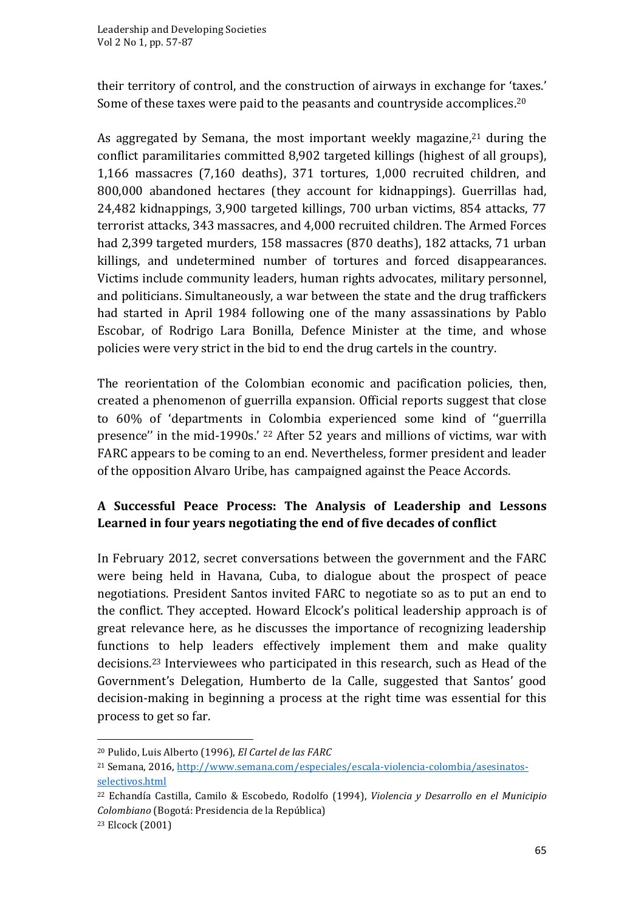their territory of control, and the construction of airways in exchange for 'taxes.' Some of these taxes were paid to the peasants and countryside accomplices.<sup>20</sup>

As aggregated by Semana, the most important weekly magazine, $21$  during the conflict paramilitaries committed 8,902 targeted killings (highest of all groups), 1,166 massacres (7,160 deaths), 371 tortures, 1,000 recruited children, and 800,000 abandoned hectares (they account for kidnappings). Guerrillas had, 24,482 kidnappings, 3,900 targeted killings, 700 urban victims, 854 attacks, 77 terrorist attacks, 343 massacres, and 4,000 recruited children. The Armed Forces had 2.399 targeted murders, 158 massacres (870 deaths), 182 attacks, 71 urban killings, and undetermined number of tortures and forced disappearances. Victims include community leaders, human rights advocates, military personnel, and politicians. Simultaneously, a war between the state and the drug traffickers had started in April 1984 following one of the many assassinations by Pablo Escobar, of Rodrigo Lara Bonilla, Defence Minister at the time, and whose policies were very strict in the bid to end the drug cartels in the country.

The reorientation of the Colombian economic and pacification policies, then, created a phenomenon of guerrilla expansion. Official reports suggest that close to 60% of 'departments in Colombia experienced some kind of "guerrilla presence" in the mid-1990s.'  $22$  After 52 years and millions of victims, war with FARC appears to be coming to an end. Nevertheless, former president and leader of the opposition Alvaro Uribe, has campaigned against the Peace Accords.

# **A Successful Peace Process: The Analysis of Leadership and Lessons**  Learned in four years negotiating the end of five decades of conflict

In February 2012, secret conversations between the government and the FARC were being held in Havana, Cuba, to dialogue about the prospect of peace negotiations. President Santos invited FARC to negotiate so as to put an end to the conflict. They accepted. Howard Elcock's political leadership approach is of great relevance here, as he discusses the importance of recognizing leadership functions to help leaders effectively implement them and make quality decisions.<sup>23</sup> Interviewees who participated in this research, such as Head of the Government's Delegation, Humberto de la Calle, suggested that Santos' good decision-making in beginning a process at the right time was essential for this process to get so far.

<sup>&</sup>lt;sup>20</sup> Pulido, Luis Alberto (1996), *El Cartel de las FARC* 

<sup>&</sup>lt;sup>21</sup> Semana, 2016, http://www.semana.com/especiales/escala-violencia-colombia/asesinatosselectivos.html

<sup>&</sup>lt;sup>22</sup> Echandía Castilla, Camilo & Escobedo, Rodolfo (1994), *Violencia y Desarrollo en el Municipio Colombiano* (Bogotá: Presidencia de la República)

<sup>&</sup>lt;sup>23</sup> Elcock (2001)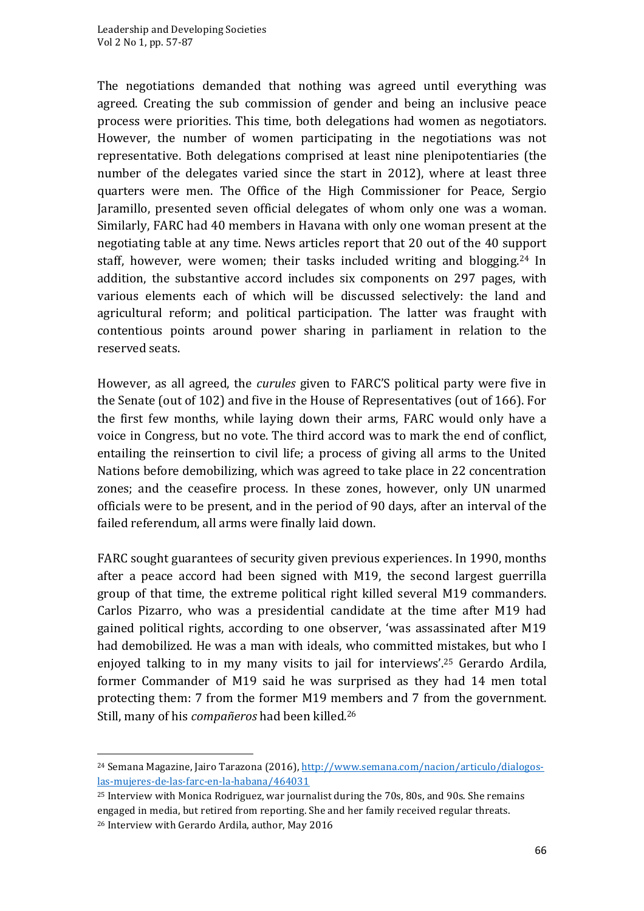The negotiations demanded that nothing was agreed until everything was agreed. Creating the sub commission of gender and being an inclusive peace process were priorities. This time, both delegations had women as negotiators. However, the number of women participating in the negotiations was not representative. Both delegations comprised at least nine plenipotentiaries (the number of the delegates varied since the start in 2012), where at least three quarters were men. The Office of the High Commissioner for Peace, Sergio Jaramillo, presented seven official delegates of whom only one was a woman. Similarly, FARC had 40 members in Havana with only one woman present at the negotiating table at any time. News articles report that 20 out of the 40 support staff, however, were women; their tasks included writing and blogging.<sup>24</sup> In addition, the substantive accord includes six components on 297 pages, with various elements each of which will be discussed selectively: the land and agricultural reform; and political participation. The latter was fraught with contentious points around power sharing in parliament in relation to the reserved seats.

However, as all agreed, the *curules* given to FARC'S political party were five in the Senate (out of  $102$ ) and five in the House of Representatives (out of  $166$ ). For the first few months, while laying down their arms, FARC would only have a voice in Congress, but no vote. The third accord was to mark the end of conflict, entailing the reinsertion to civil life; a process of giving all arms to the United Nations before demobilizing, which was agreed to take place in 22 concentration zones; and the ceasefire process. In these zones, however, only UN unarmed officials were to be present, and in the period of 90 days, after an interval of the failed referendum, all arms were finally laid down.

FARC sought guarantees of security given previous experiences. In 1990, months after a peace accord had been signed with M19, the second largest guerrilla group of that time, the extreme political right killed several M19 commanders. Carlos Pizarro, who was a presidential candidate at the time after M19 had gained political rights, according to one observer, 'was assassinated after M19 had demobilized. He was a man with ideals, who committed mistakes, but who I enjoyed talking to in my many visits to jail for interviews'.<sup>25</sup> Gerardo Ardila, former Commander of M19 said he was surprised as they had 14 men total protecting them: 7 from the former M19 members and 7 from the government. Still, many of his *compañeros* had been killed.<sup>26</sup>

<u> 1989 - Johann Barn, mars eta bainar eta industrial eta baina eta baina eta baina eta baina eta baina eta bain</u>

<sup>&</sup>lt;sup>24</sup> Semana Magazine, Jairo Tarazona (2016), http://www.semana.com/nacion/articulo/dialogoslas-mujeres-de-las-farc-en-la-habana/464031

<sup>&</sup>lt;sup>25</sup> Interview with Monica Rodriguez, war journalist during the 70s, 80s, and 90s. She remains engaged in media, but retired from reporting. She and her family received regular threats. <sup>26</sup> Interview with Gerardo Ardila, author, May 2016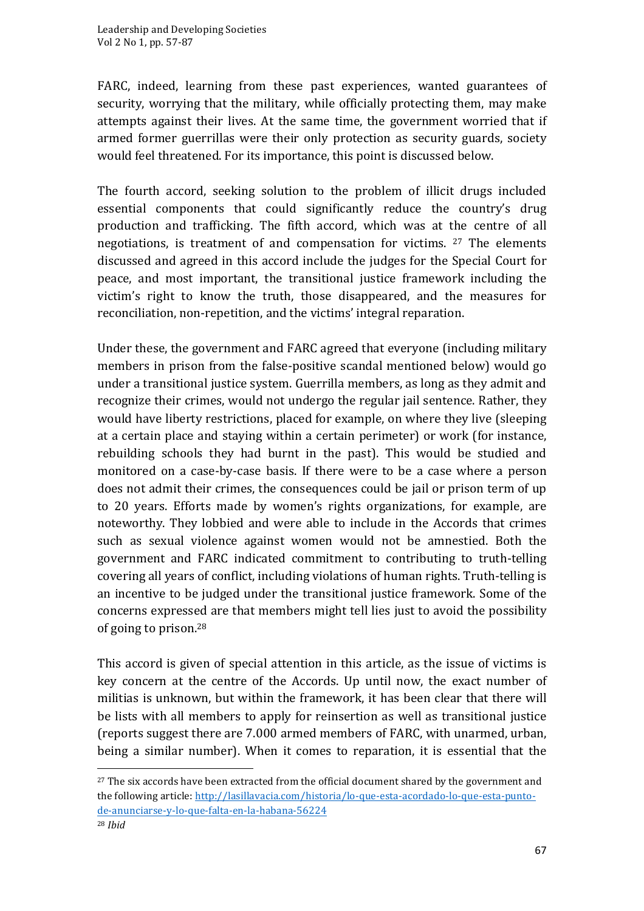FARC, indeed, learning from these past experiences, wanted guarantees of security, worrying that the military, while officially protecting them, may make attempts against their lives. At the same time, the government worried that if armed former guerrillas were their only protection as security guards, society would feel threatened. For its importance, this point is discussed below.

The fourth accord, seeking solution to the problem of illicit drugs included essential components that could significantly reduce the country's drug production and trafficking. The fifth accord, which was at the centre of all negotiations, is treatment of and compensation for victims.  $27$  The elements discussed and agreed in this accord include the judges for the Special Court for peace, and most important, the transitional justice framework including the victim's right to know the truth, those disappeared, and the measures for reconciliation, non-repetition, and the victims' integral reparation.

Under these, the government and FARC agreed that everyone (including military members in prison from the false-positive scandal mentioned below) would go under a transitional justice system. Guerrilla members, as long as they admit and recognize their crimes, would not undergo the regular jail sentence. Rather, they would have liberty restrictions, placed for example, on where they live (sleeping at a certain place and staying within a certain perimeter) or work (for instance, rebuilding schools they had burnt in the past). This would be studied and monitored on a case-by-case basis. If there were to be a case where a person does not admit their crimes, the consequences could be jail or prison term of up to 20 years. Efforts made by women's rights organizations, for example, are noteworthy. They lobbied and were able to include in the Accords that crimes such as sexual violence against women would not be amnestied. Both the government and FARC indicated commitment to contributing to truth-telling covering all vears of conflict, including violations of human rights. Truth-telling is an incentive to be judged under the transitional justice framework. Some of the concerns expressed are that members might tell lies just to avoid the possibility of going to prison. $28$ 

This accord is given of special attention in this article, as the issue of victims is key concern at the centre of the Accords. Up until now, the exact number of militias is unknown, but within the framework, it has been clear that there will be lists with all members to apply for reinsertion as well as transitional justice (reports suggest there are 7.000 armed members of FARC, with unarmed, urban, being a similar number). When it comes to reparation, it is essential that the

<sup>&</sup>lt;sup>27</sup> The six accords have been extracted from the official document shared by the government and the following article: http://lasillavacia.com/historia/lo-que-esta-acordado-lo-que-esta-puntode-anunciarse-y-lo-que-falta-en-la-habana-56224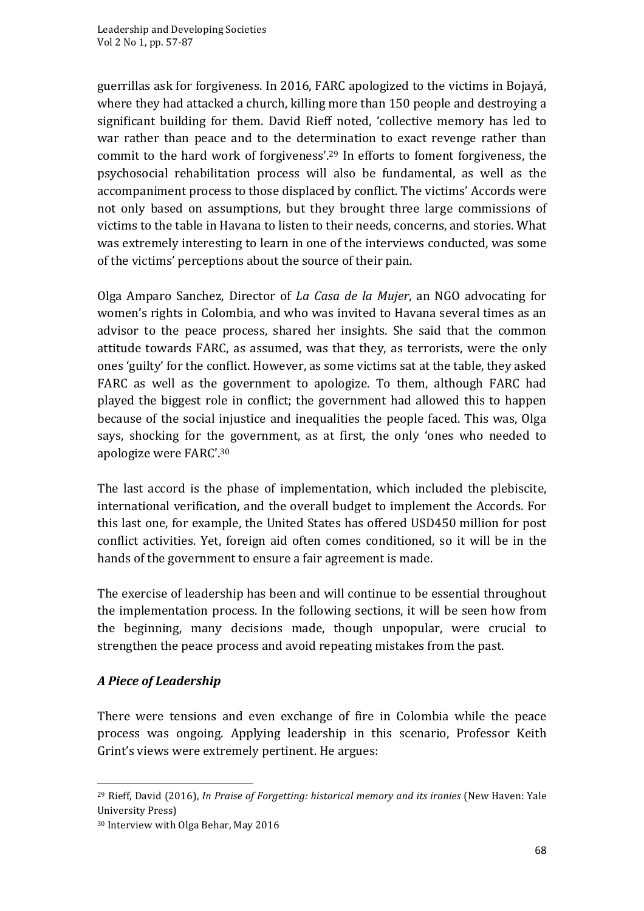guerrillas ask for forgiveness. In 2016, FARC apologized to the victims in Bojayá, where they had attacked a church, killing more than 150 people and destroying a significant building for them. David Rieff noted, 'collective memory has led to war rather than peace and to the determination to exact revenge rather than commit to the hard work of forgiveness'.<sup>29</sup> In efforts to foment forgiveness, the psychosocial rehabilitation process will also be fundamental, as well as the accompaniment process to those displaced by conflict. The victims' Accords were not only based on assumptions, but they brought three large commissions of victims to the table in Havana to listen to their needs, concerns, and stories. What was extremely interesting to learn in one of the interviews conducted, was some of the victims' perceptions about the source of their pain.

Olga Amparo Sanchez, Director of *La Casa de la Mujer*, an NGO advocating for women's rights in Colombia, and who was invited to Havana several times as an advisor to the peace process, shared her insights. She said that the common attitude towards FARC, as assumed, was that they, as terrorists, were the only ones 'guilty' for the conflict. However, as some victims sat at the table, they asked FARC as well as the government to apologize. To them, although FARC had played the biggest role in conflict; the government had allowed this to happen because of the social injustice and inequalities the people faced. This was, Olga says, shocking for the government, as at first, the only 'ones who needed to apologize were FARC'.<sup>30</sup>

The last accord is the phase of implementation, which included the plebiscite, international verification, and the overall budget to implement the Accords. For this last one, for example, the United States has offered USD450 million for post conflict activities. Yet, foreign aid often comes conditioned, so it will be in the hands of the government to ensure a fair agreement is made.

The exercise of leadership has been and will continue to be essential throughout the implementation process. In the following sections, it will be seen how from the beginning, many decisions made, though unpopular, were crucial to strengthen the peace process and avoid repeating mistakes from the past.

# *A Piece of Leadership*

There were tensions and even exchange of fire in Colombia while the peace process was ongoing. Applying leadership in this scenario, Professor Keith Grint's views were extremely pertinent. He argues:

<sup>30</sup> Interview with Olga Behar, May 2016

<sup>&</sup>lt;sup>29</sup> Rieff, David (2016), *In Praise of Forgetting: historical memory and its ironies* (New Haven: Yale University Press)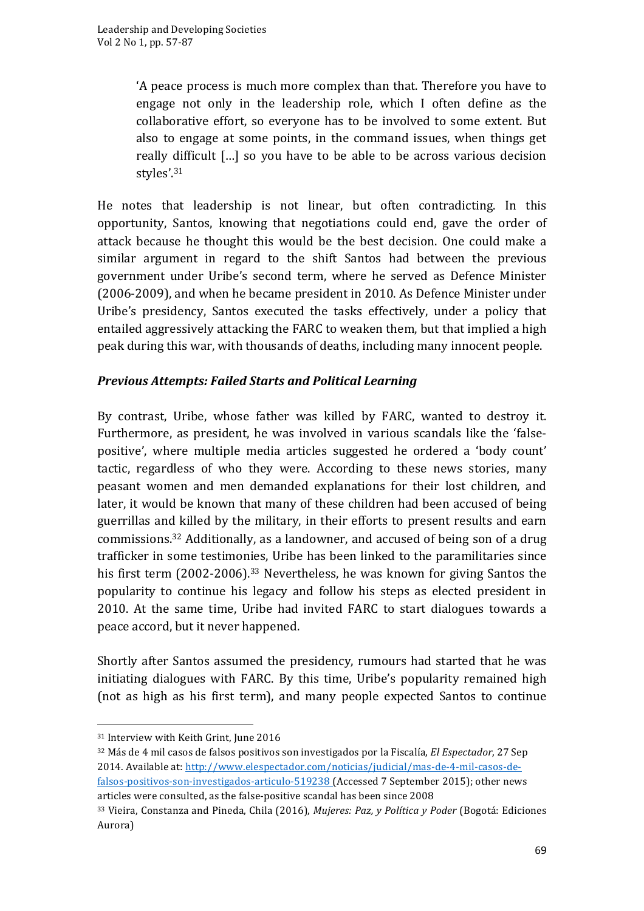'A peace process is much more complex than that. Therefore you have to engage not only in the leadership role, which I often define as the collaborative effort, so everyone has to be involved to some extent. But also to engage at some points, in the command issues, when things get really difficult  $\lceil \ldots \rceil$  so you have to be able to be across various decision styles'. 31

He notes that leadership is not linear, but often contradicting. In this opportunity, Santos, knowing that negotiations could end, gave the order of attack because he thought this would be the best decision. One could make a similar argument in regard to the shift Santos had between the previous government under Uribe's second term, where he served as Defence Minister (2006-2009), and when he became president in 2010. As Defence Minister under Uribe's presidency, Santos executed the tasks effectively, under a policy that entailed aggressively attacking the FARC to weaken them, but that implied a high peak during this war, with thousands of deaths, including many innocent people.

# **Previous Attempts: Failed Starts and Political Learning**

By contrast, Uribe, whose father was killed by FARC, wanted to destroy it. Furthermore, as president, he was involved in various scandals like the 'falsepositive', where multiple media articles suggested he ordered a 'body count' tactic, regardless of who they were. According to these news stories, many peasant women and men demanded explanations for their lost children, and later, it would be known that many of these children had been accused of being guerrillas and killed by the military, in their efforts to present results and earn commissions.<sup>32</sup> Additionally, as a landowner, and accused of being son of a drug trafficker in some testimonies, Uribe has been linked to the paramilitaries since his first term  $(2002-2006)$ .<sup>33</sup> Nevertheless, he was known for giving Santos the popularity to continue his legacy and follow his steps as elected president in 2010. At the same time, Uribe had invited FARC to start dialogues towards a peace accord, but it never happened.

Shortly after Santos assumed the presidency, rumours had started that he was initiating dialogues with FARC. By this time, Uribe's popularity remained high (not as high as his first term), and many people expected Santos to continue

<u> 1989 - Johann Barn, mars ann an t-Amhain an t-Amhain an t-Amhain an t-Amhain an t-Amhain an t-Amhain an t-Amh</u>

articles were consulted, as the false-positive scandal has been since 2008

<sup>&</sup>lt;sup>31</sup> Interview with Keith Grint, June 2016

<sup>&</sup>lt;sup>32</sup> Más de 4 mil casos de falsos positivos son investigados por la Fiscalía, *El Espectador*, 27 Sep 2014. Available at: http://www.elespectador.com/noticias/judicial/mas-de-4-mil-casos-defalsos-positivos-son-investigados-articulo-519238 (Accessed 7 September 2015); other news

<sup>33</sup> Vieira, Constanza and Pineda, Chila (2016), *Mujeres: Paz, y Política y Poder* (Bogotá: Ediciones Aurora)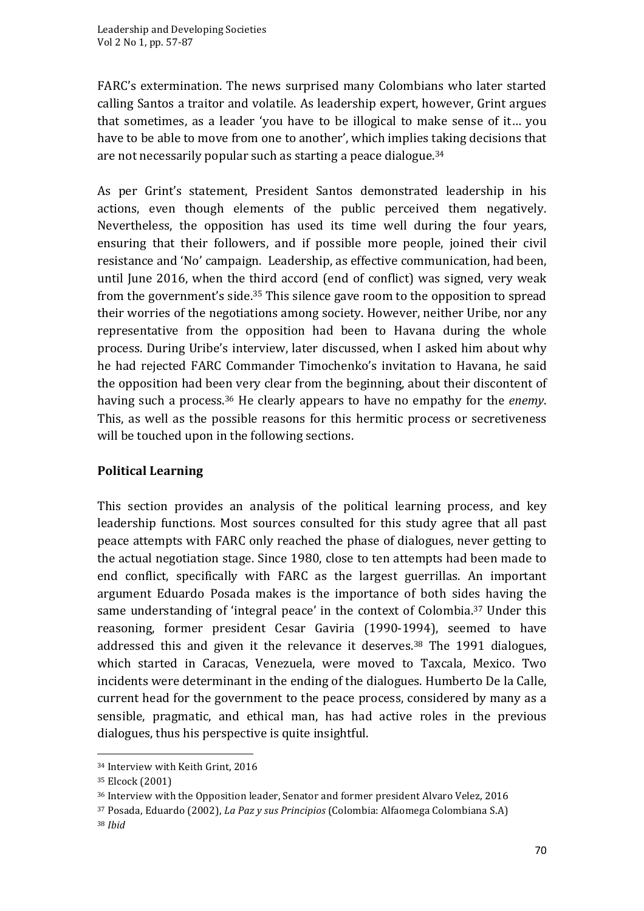FARC's extermination. The news surprised many Colombians who later started calling Santos a traitor and volatile. As leadership expert, however, Grint argues that sometimes, as a leader 'you have to be illogical to make sense of it... you have to be able to move from one to another', which implies taking decisions that are not necessarily popular such as starting a peace dialogue. $34$ 

As per Grint's statement, President Santos demonstrated leadership in his actions, even though elements of the public perceived them negatively. Nevertheless, the opposition has used its time well during the four years, ensuring that their followers, and if possible more people, ioined their civil resistance and 'No' campaign. Leadership, as effective communication, had been, until June 2016, when the third accord (end of conflict) was signed, very weak from the government's side.<sup>35</sup> This silence gave room to the opposition to spread their worries of the negotiations among society. However, neither Uribe, nor any representative from the opposition had been to Havana during the whole process. During Uribe's interview, later discussed, when I asked him about why he had rejected FARC Commander Timochenko's invitation to Havana, he said the opposition had been very clear from the beginning, about their discontent of having such a process.<sup>36</sup> He clearly appears to have no empathy for the *enemy*. This, as well as the possible reasons for this hermitic process or secretiveness will be touched upon in the following sections.

# **Political Learning**

This section provides an analysis of the political learning process, and key leadership functions. Most sources consulted for this study agree that all past peace attempts with FARC only reached the phase of dialogues, never getting to the actual negotiation stage. Since 1980, close to ten attempts had been made to end conflict, specifically with FARC as the largest guerrillas. An important argument Eduardo Posada makes is the importance of both sides having the same understanding of 'integral peace' in the context of Colombia.<sup>37</sup> Under this reasoning, former president Cesar Gaviria (1990-1994), seemed to have addressed this and given it the relevance it deserves.<sup>38</sup> The 1991 dialogues, which started in Caracas, Venezuela, were moved to Taxcala, Mexico. Two incidents were determinant in the ending of the dialogues. Humberto De la Calle, current head for the government to the peace process, considered by many as a sensible, pragmatic, and ethical man, has had active roles in the previous dialogues, thus his perspective is quite insightful.

<sup>&</sup>lt;u> 1989 - Johann Barn, mars eta bainar eta industrial eta baina eta baina eta baina eta baina eta baina eta bain</u> <sup>34</sup> Interview with Keith Grint, 2016

<sup>&</sup>lt;sup>35</sup> Elcock (2001)

<sup>&</sup>lt;sup>36</sup> Interview with the Opposition leader, Senator and former president Alvaro Velez, 2016

<sup>&</sup>lt;sup>37</sup> Posada, Eduardo (2002), *La Paz y sus Principios* (Colombia: Alfaomega Colombiana S.A) <sup>38</sup> *Ibid*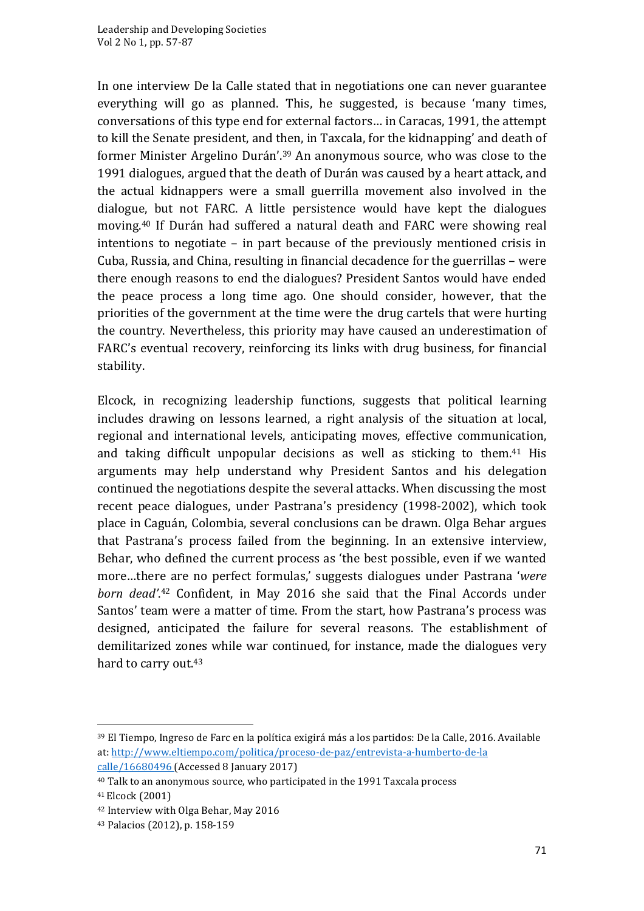In one interview De la Calle stated that in negotiations one can never guarantee everything will go as planned. This, he suggested, is because 'many times, conversations of this type end for external factors... in Caracas, 1991, the attempt to kill the Senate president, and then, in Taxcala, for the kidnapping' and death of former Minister Argelino Durán'.<sup>39</sup> An anonymous source, who was close to the 1991 dialogues, argued that the death of Durán was caused by a heart attack, and the actual kidnappers were a small guerrilla movement also involved in the dialogue, but not FARC. A little persistence would have kept the dialogues moving.<sup>40</sup> If Durán had suffered a natural death and FARC were showing real  $i$  intentions to negotiate  $-$  in part because of the previously mentioned crisis in Cuba, Russia, and China, resulting in financial decadence for the guerrillas  $-$  were there enough reasons to end the dialogues? President Santos would have ended the peace process a long time ago. One should consider, however, that the priorities of the government at the time were the drug cartels that were hurting the country. Nevertheless, this priority may have caused an underestimation of FARC's eventual recovery, reinforcing its links with drug business, for financial stability. 

Elcock, in recognizing leadership functions, suggests that political learning includes drawing on lessons learned, a right analysis of the situation at local, regional and international levels, anticipating moves, effective communication, and taking difficult unpopular decisions as well as sticking to them.<sup>41</sup> His arguments may help understand why President Santos and his delegation continued the negotiations despite the several attacks. When discussing the most recent peace dialogues, under Pastrana's presidency (1998-2002), which took place in Caguán, Colombia, several conclusions can be drawn. Olga Behar argues that Pastrana's process failed from the beginning. In an extensive interview, Behar, who defined the current process as 'the best possible, even if we wanted more...there are no perfect formulas,' suggests dialogues under Pastrana 'were born dead'.<sup>42</sup> Confident, in May 2016 she said that the Final Accords under Santos' team were a matter of time. From the start, how Pastrana's process was designed, anticipated the failure for several reasons. The establishment of demilitarized zones while war continued, for instance, made the dialogues very hard to carry out.<sup>43</sup>

<sup>&</sup>lt;sup>39</sup> El Tiempo, Ingreso de Farc en la política exigirá más a los partidos: De la Calle, 2016. Available at: http://www.eltiempo.com/politica/proceso-de-paz/entrevista-a-humberto-de-la calle/16680496 (Accessed 8 January 2017)

<sup>&</sup>lt;sup>40</sup> Talk to an anonymous source, who participated in the 1991 Taxcala process

<sup>41</sup> Elcock (2001)

<sup>&</sup>lt;sup>42</sup> Interview with Olga Behar, May 2016

<sup>43</sup> Palacios (2012), p. 158-159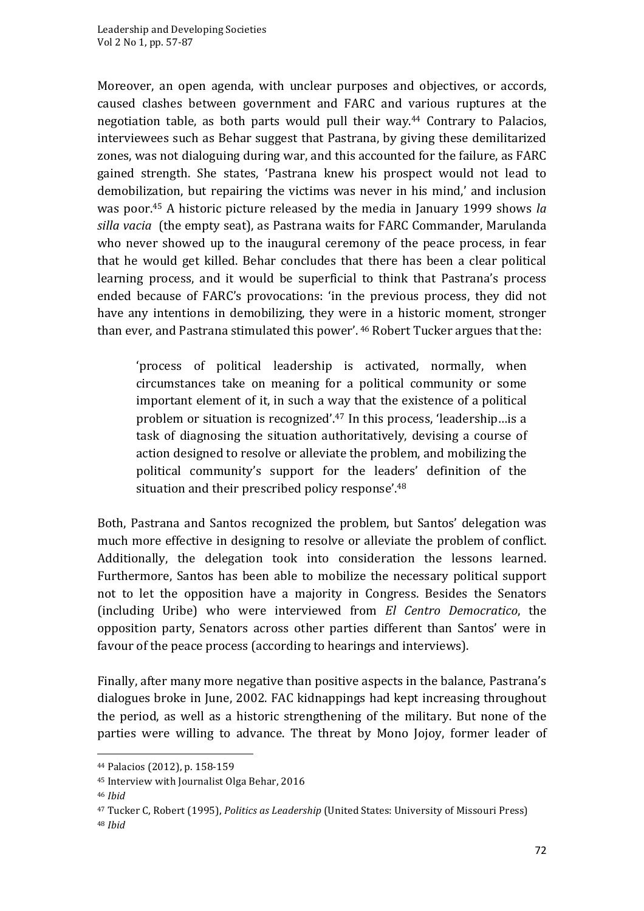Moreover, an open agenda, with unclear purposes and objectives, or accords, caused clashes between government and FARC and various ruptures at the negotiation table, as both parts would pull their way. $44$  Contrary to Palacios, interviewees such as Behar suggest that Pastrana, by giving these demilitarized zones, was not dialoguing during war, and this accounted for the failure, as FARC gained strength. She states, 'Pastrana knew his prospect would not lead to demobilization, but repairing the victims was never in his mind,' and inclusion was poor.<sup>45</sup> A historic picture released by the media in January 1999 shows *la* silla vacia (the empty seat), as Pastrana waits for FARC Commander, Marulanda who never showed up to the inaugural ceremony of the peace process, in fear that he would get killed. Behar concludes that there has been a clear political learning process, and it would be superficial to think that Pastrana's process ended because of FARC's provocations: 'in the previous process, they did not have any intentions in demobilizing, they were in a historic moment, stronger than ever, and Pastrana stimulated this power'. <sup>46</sup> Robert Tucker argues that the:

'process of political leadership is activated, normally, when circumstances take on meaning for a political community or some important element of it, in such a way that the existence of a political problem or situation is recognized'.<sup>47</sup> In this process, 'leadership...is a task of diagnosing the situation authoritatively, devising a course of action designed to resolve or alleviate the problem, and mobilizing the political community's support for the leaders' definition of the situation and their prescribed policy response'.<sup>48</sup>

Both, Pastrana and Santos recognized the problem, but Santos' delegation was much more effective in designing to resolve or alleviate the problem of conflict. Additionally, the delegation took into consideration the lessons learned. Furthermore, Santos has been able to mobilize the necessary political support not to let the opposition have a majority in Congress. Besides the Senators (including Uribe) who were interviewed from *El Centro Democratico*, the opposition party, Senators across other parties different than Santos' were in favour of the peace process (according to hearings and interviews).

Finally, after many more negative than positive aspects in the balance, Pastrana's dialogues broke in June, 2002. FAC kidnappings had kept increasing throughout the period, as well as a historic strengthening of the military. But none of the parties were willing to advance. The threat by Mono Jojoy, former leader of

<u> 1989 - Johann Barn, mars eta bainar eta industrial eta baina eta baina eta baina eta baina eta baina eta bain</u>

<sup>44</sup> Palacios (2012), p. 158-159

<sup>&</sup>lt;sup>45</sup> Interview with Journalist Olga Behar, 2016

<sup>46</sup> *Ibid*

<sup>&</sup>lt;sup>47</sup> Tucker C, Robert (1995), *Politics as Leadership* (United States: University of Missouri Press) <sup>48</sup> *Ibid*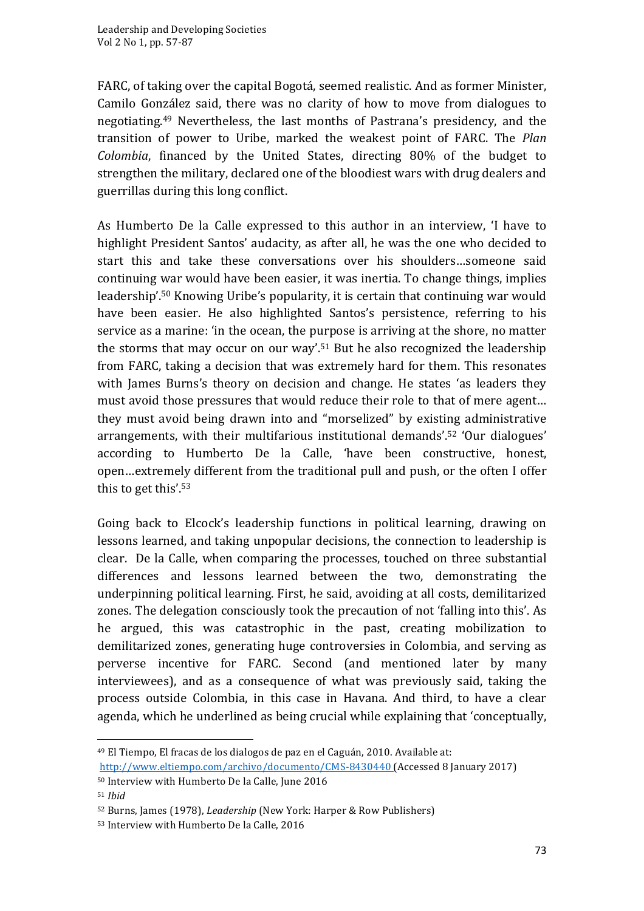FARC, of taking over the capital Bogotá, seemed realistic. And as former Minister, Camilo González said, there was no clarity of how to move from dialogues to negotiating.<sup>49</sup> Nevertheless, the last months of Pastrana's presidency, and the transition of power to Uribe, marked the weakest point of FARC. The *Plan Colombia*, financed by the United States, directing 80% of the budget to strengthen the military, declared one of the bloodiest wars with drug dealers and guerrillas during this long conflict.

As Humberto De la Calle expressed to this author in an interview, 'I have to highlight President Santos' audacity, as after all, he was the one who decided to start this and take these conversations over his shoulders...someone said continuing war would have been easier, it was inertia. To change things, implies leadership'.<sup>50</sup> Knowing Uribe's popularity, it is certain that continuing war would have been easier. He also highlighted Santos's persistence, referring to his service as a marine: 'in the ocean, the purpose is arriving at the shore, no matter the storms that may occur on our way'.<sup>51</sup> But he also recognized the leadership from FARC, taking a decision that was extremely hard for them. This resonates with James Burns's theory on decision and change. He states 'as leaders they must avoid those pressures that would reduce their role to that of mere agent... they must avoid being drawn into and "morselized" by existing administrative arrangements, with their multifarious institutional demands'.<sup>52</sup> 'Our dialogues' according to Humberto De la Calle, 'have been constructive, honest, open...extremely different from the traditional pull and push, or the often I offer this to get this'. $53$ 

Going back to Elcock's leadership functions in political learning, drawing on lessons learned, and taking unpopular decisions, the connection to leadership is clear. De la Calle, when comparing the processes, touched on three substantial differences and lessons learned between the two, demonstrating the underpinning political learning. First, he said, avoiding at all costs, demilitarized zones. The delegation consciously took the precaution of not 'falling into this'. As he argued, this was catastrophic in the past, creating mobilization to demilitarized zones, generating huge controversies in Colombia, and serving as perverse incentive for FARC. Second (and mentioned later by many interviewees), and as a consequence of what was previously said, taking the process outside Colombia, in this case in Havana. And third, to have a clear agenda, which he underlined as being crucial while explaining that 'conceptually,

 $49$  El Tiempo, El fracas de los dialogos de paz en el Caguán, 2010. Available at: http://www.eltiempo.com/archivo/documento/CMS-8430440 (Accessed 8 January 2017)

<sup>&</sup>lt;sup>50</sup> Interview with Humberto De la Calle, June 2016

<sup>51</sup> *Ibid*

<sup>&</sup>lt;sup>52</sup> Burns, James (1978), *Leadership* (New York: Harper & Row Publishers)

<sup>53</sup> Interview with Humberto De la Calle, 2016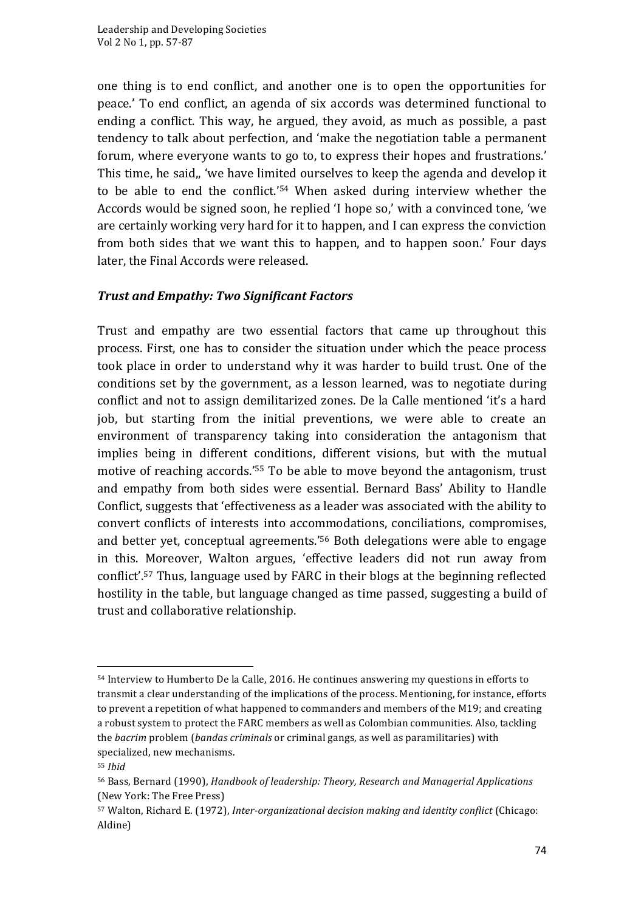one thing is to end conflict, and another one is to open the opportunities for peace.' To end conflict, an agenda of six accords was determined functional to ending a conflict. This way, he argued, they avoid, as much as possible, a past tendency to talk about perfection, and 'make the negotiation table a permanent forum, where everyone wants to go to, to express their hopes and frustrations.' This time, he said,, 'we have limited ourselves to keep the agenda and develop it to be able to end the conflict.'<sup>54</sup> When asked during interview whether the Accords would be signed soon, he replied 'I hope so,' with a convinced tone, 'we are certainly working very hard for it to happen, and I can express the conviction from both sides that we want this to happen, and to happen soon.' Four days later, the Final Accords were released.

### *Trust and Empathy: Two Significant Factors*

Trust and empathy are two essential factors that came up throughout this process. First, one has to consider the situation under which the peace process took place in order to understand why it was harder to build trust. One of the conditions set by the government, as a lesson learned, was to negotiate during conflict and not to assign demilitarized zones. De la Calle mentioned 'it's a hard job, but starting from the initial preventions, we were able to create an environment of transparency taking into consideration the antagonism that implies being in different conditions, different visions, but with the mutual motive of reaching accords.<sup>'55</sup> To be able to move beyond the antagonism, trust and empathy from both sides were essential. Bernard Bass' Ability to Handle Conflict, suggests that 'effectiveness as a leader was associated with the ability to convert conflicts of interests into accommodations, conciliations, compromises, and better yet, conceptual agreements.'<sup>56</sup> Both delegations were able to engage in this. Moreover, Walton argues, 'effective leaders did not run away from conflict'.<sup>57</sup> Thus, language used by FARC in their blogs at the beginning reflected hostility in the table, but language changed as time passed, suggesting a build of trust and collaborative relationship.

<sup>&</sup>lt;sup>54</sup> Interview to Humberto De la Calle, 2016. He continues answering my questions in efforts to transmit a clear understanding of the implications of the process. Mentioning, for instance, efforts to prevent a repetition of what happened to commanders and members of the M19; and creating a robust system to protect the FARC members as well as Colombian communities. Also, tackling the *bacrim* problem (*bandas criminals* or criminal gangs, as well as paramilitaries) with specialized, new mechanisms.

<sup>55</sup> *Ibid*

<sup>56</sup> Bass, Bernard (1990), *Handbook of leadership: Theory, Research and Managerial Applications* (New York: The Free Press)

<sup>57</sup> Walton, Richard E. (1972), *Inter-organizational decision making and identity conflict* (Chicago: Aldine)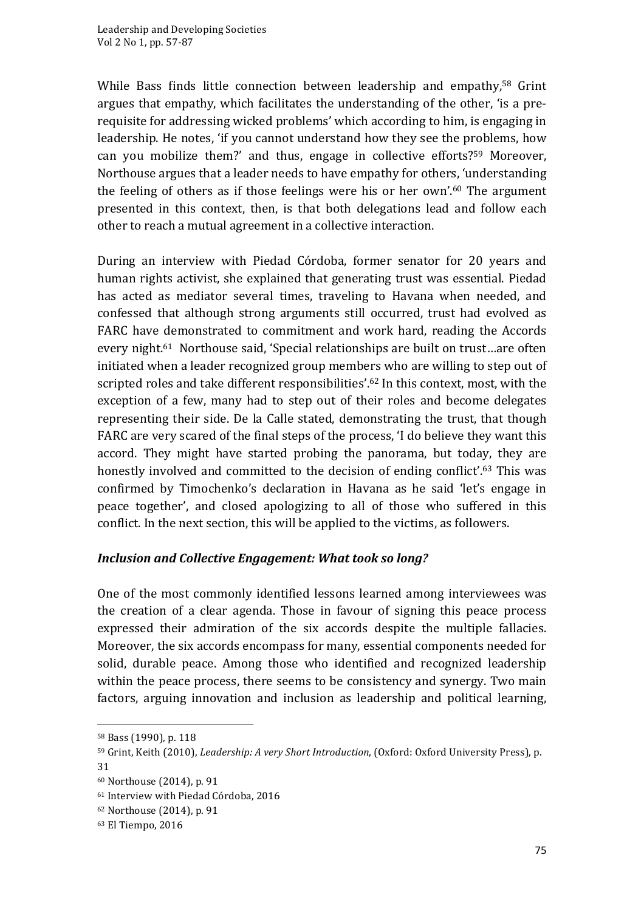While Bass finds little connection between leadership and empathy,<sup>58</sup> Grint argues that empathy, which facilitates the understanding of the other, 'is a prerequisite for addressing wicked problems' which according to him, is engaging in leadership. He notes, 'if you cannot understand how they see the problems, how can you mobilize them?' and thus, engage in collective efforts?<sup>59</sup> Moreover, Northouse argues that a leader needs to have empathy for others, 'understanding the feeling of others as if those feelings were his or her own'.<sup>60</sup> The argument presented in this context, then, is that both delegations lead and follow each other to reach a mutual agreement in a collective interaction.

During an interview with Piedad Córdoba, former senator for 20 years and human rights activist, she explained that generating trust was essential. Piedad has acted as mediator several times, traveling to Havana when needed, and confessed that although strong arguments still occurred, trust had evolved as FARC have demonstrated to commitment and work hard, reading the Accords every night.<sup>61</sup> Northouse said, 'Special relationships are built on trust...are often initiated when a leader recognized group members who are willing to step out of scripted roles and take different responsibilities'.<sup>62</sup> In this context, most, with the exception of a few, many had to step out of their roles and become delegates representing their side. De la Calle stated, demonstrating the trust, that though FARC are very scared of the final steps of the process, 'I do believe they want this accord. They might have started probing the panorama, but today, they are honestly involved and committed to the decision of ending conflict'.<sup>63</sup> This was confirmed by Timochenko's declaration in Havana as he said 'let's engage in peace together', and closed apologizing to all of those who suffered in this conflict. In the next section, this will be applied to the victims, as followers.

#### **Inclusion and Collective Engagement: What took so long?**

One of the most commonly identified lessons learned among interviewees was the creation of a clear agenda. Those in favour of signing this peace process expressed their admiration of the six accords despite the multiple fallacies. Moreover, the six accords encompass for many, essential components needed for solid, durable peace. Among those who identified and recognized leadership within the peace process, there seems to be consistency and synergy. Two main factors, arguing innovation and inclusion as leadership and political learning,

<sup>58</sup> Bass (1990), p. 118

<sup>59</sup> Grint, Keith (2010), *Leadership: A very Short Introduction*, (Oxford: Oxford University Press), p. 31 

<sup>&</sup>lt;sup>60</sup> Northouse (2014), p. 91

<sup>&</sup>lt;sup>61</sup> Interview with Piedad Córdoba, 2016

<sup>62</sup> Northouse (2014), p. 91

<sup>&</sup>lt;sup>63</sup> El Tiempo, 2016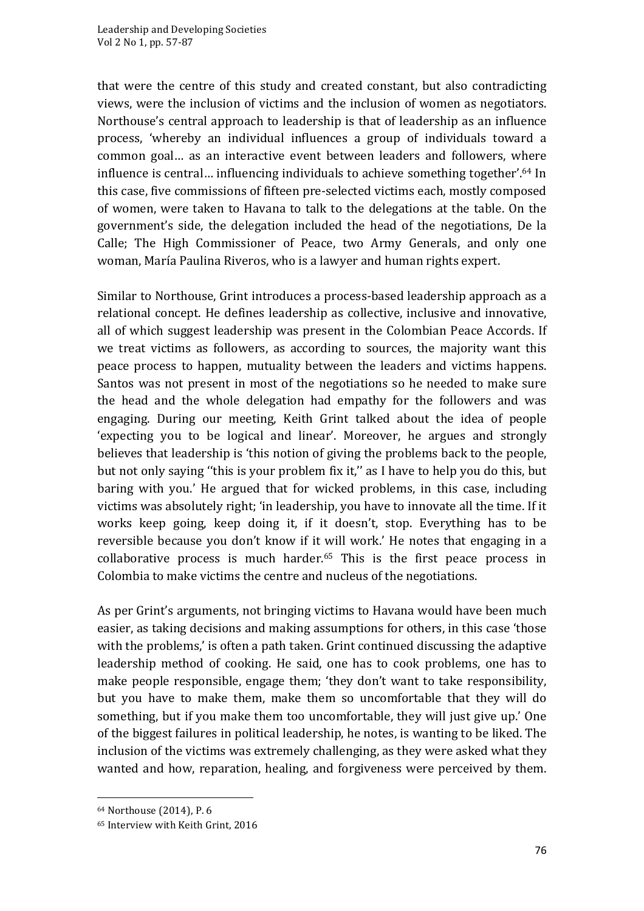that were the centre of this study and created constant, but also contradicting views, were the inclusion of victims and the inclusion of women as negotiators. Northouse's central approach to leadership is that of leadership as an influence process, 'whereby an individual influences a group of individuals toward a common goal... as an interactive event between leaders and followers, where influence is central... influencing individuals to achieve something together'.<sup>64</sup> In this case, five commissions of fifteen pre-selected victims each, mostly composed of women, were taken to Havana to talk to the delegations at the table. On the government's side, the delegation included the head of the negotiations, De la Calle: The High Commissioner of Peace, two Army Generals, and only one woman, María Paulina Riveros, who is a lawyer and human rights expert.

Similar to Northouse, Grint introduces a process-based leadership approach as a relational concept. He defines leadership as collective, inclusive and innovative, all of which suggest leadership was present in the Colombian Peace Accords. If we treat victims as followers, as according to sources, the majority want this peace process to happen, mutuality between the leaders and victims happens. Santos was not present in most of the negotiations so he needed to make sure the head and the whole delegation had empathy for the followers and was engaging. During our meeting, Keith Grint talked about the idea of people 'expecting you to be logical and linear'. Moreover, he argues and strongly believes that leadership is 'this notion of giving the problems back to the people, but not only saying "this is your problem fix it," as I have to help you do this, but baring with you.' He argued that for wicked problems, in this case, including victims was absolutely right; 'in leadership, you have to innovate all the time. If it works keep going, keep doing it, if it doesn't, stop. Everything has to be reversible because you don't know if it will work.' He notes that engaging in a collaborative process is much harder. $65$  This is the first peace process in Colombia to make victims the centre and nucleus of the negotiations.

As per Grint's arguments, not bringing victims to Havana would have been much easier, as taking decisions and making assumptions for others, in this case 'those with the problems,' is often a path taken. Grint continued discussing the adaptive leadership method of cooking. He said, one has to cook problems, one has to make people responsible, engage them; 'they don't want to take responsibility, but you have to make them, make them so uncomfortable that they will do something, but if you make them too uncomfortable, they will just give up.' One of the biggest failures in political leadership, he notes, is wanting to be liked. The inclusion of the victims was extremely challenging, as they were asked what they wanted and how, reparation, healing, and forgiveness were perceived by them.

<sup>&</sup>lt;sup>64</sup> Northouse (2014), P. 6

<sup>&</sup>lt;sup>65</sup> Interview with Keith Grint, 2016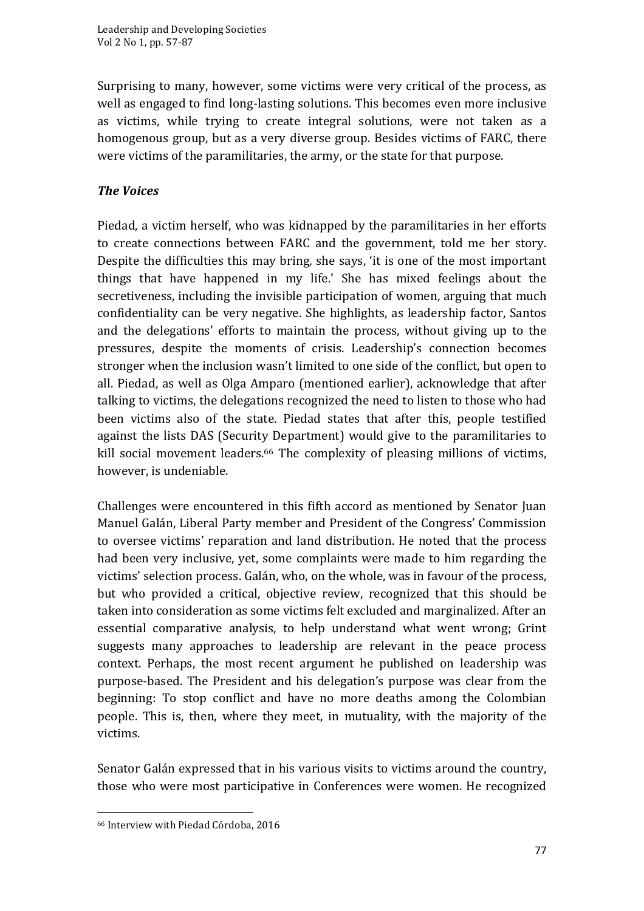Surprising to many, however, some victims were very critical of the process, as well as engaged to find long-lasting solutions. This becomes even more inclusive as victims, while trying to create integral solutions, were not taken as a homogenous group, but as a very diverse group. Besides victims of FARC, there were victims of the paramilitaries, the army, or the state for that purpose.

# *The Voices*

Piedad, a victim herself, who was kidnapped by the paramilitaries in her efforts to create connections between FARC and the government, told me her story. Despite the difficulties this may bring, she says, 'it is one of the most important things that have happened in my life.' She has mixed feelings about the secretiveness, including the invisible participation of women, arguing that much confidentiality can be very negative. She highlights, as leadership factor, Santos and the delegations' efforts to maintain the process, without giving up to the pressures, despite the moments of crisis. Leadership's connection becomes stronger when the inclusion wasn't limited to one side of the conflict, but open to all. Piedad, as well as Olga Amparo (mentioned earlier), acknowledge that after talking to victims, the delegations recognized the need to listen to those who had been victims also of the state. Piedad states that after this, people testified against the lists DAS (Security Department) would give to the paramilitaries to kill social movement leaders. $66$  The complexity of pleasing millions of victims, however, is undeniable.

Challenges were encountered in this fifth accord as mentioned by Senator Juan Manuel Galán, Liberal Party member and President of the Congress' Commission to oversee victims' reparation and land distribution. He noted that the process had been very inclusive, yet, some complaints were made to him regarding the victims' selection process. Galán, who, on the whole, was in favour of the process, but who provided a critical, objective review, recognized that this should be taken into consideration as some victims felt excluded and marginalized. After an essential comparative analysis, to help understand what went wrong; Grint suggests many approaches to leadership are relevant in the peace process context. Perhaps, the most recent argument he published on leadership was purpose-based. The President and his delegation's purpose was clear from the beginning: To stop conflict and have no more deaths among the Colombian people. This is, then, where they meet, in mutuality, with the majority of the victims.

Senator Galán expressed that in his various visits to victims around the country, those who were most participative in Conferences were women. He recognized

 

<sup>&</sup>lt;sup>66</sup> Interview with Piedad Córdoba, 2016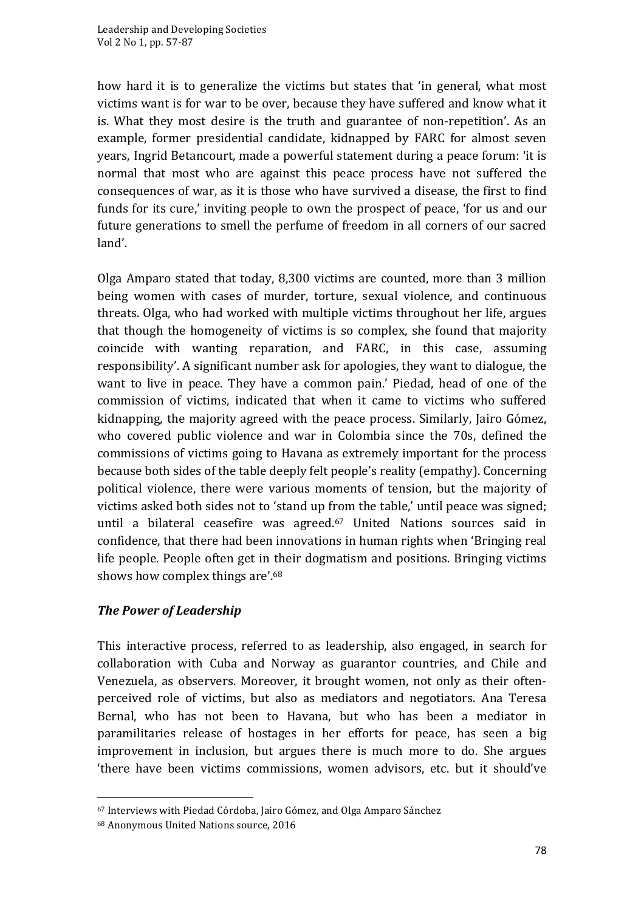how hard it is to generalize the victims but states that 'in general, what most victims want is for war to be over, because they have suffered and know what it is. What they most desire is the truth and guarantee of non-repetition'. As an example, former presidential candidate, kidnapped by FARC for almost seven years, Ingrid Betancourt, made a powerful statement during a peace forum: 'it is normal that most who are against this peace process have not suffered the consequences of war, as it is those who have survived a disease, the first to find funds for its cure,' inviting people to own the prospect of peace, 'for us and our future generations to smell the perfume of freedom in all corners of our sacred land'. 

Olga Amparo stated that today, 8,300 victims are counted, more than 3 million being women with cases of murder, torture, sexual violence, and continuous threats. Olga, who had worked with multiple victims throughout her life, argues that though the homogeneity of victims is so complex, she found that majority coincide with wanting reparation, and FARC, in this case, assuming responsibility'. A significant number ask for apologies, they want to dialogue, the want to live in peace. They have a common pain.' Piedad, head of one of the commission of victims, indicated that when it came to victims who suffered kidnapping, the majority agreed with the peace process. Similarly, Jairo Gómez, who covered public violence and war in Colombia since the 70s, defined the commissions of victims going to Havana as extremely important for the process because both sides of the table deeply felt people's reality (empathy). Concerning political violence, there were various moments of tension, but the majority of victims asked both sides not to 'stand up from the table,' until peace was signed; until a bilateral ceasefire was agreed.<sup>67</sup> United Nations sources said in confidence, that there had been innovations in human rights when 'Bringing real life people. People often get in their dogmatism and positions. Bringing victims shows how complex things are'.<sup>68</sup>

# **The Power of Leadership**

This interactive process, referred to as leadership, also engaged, in search for collaboration with Cuba and Norway as guarantor countries, and Chile and Venezuela, as observers. Moreover, it brought women, not only as their oftenperceived role of victims, but also as mediators and negotiators. Ana Teresa Bernal, who has not been to Havana, but who has been a mediator in paramilitaries release of hostages in her efforts for peace, has seen a big improvement in inclusion, but argues there is much more to do. She argues 'there have been victims commissions, women advisors, etc. but it should've

<sup>&</sup>lt;sup>67</sup> Interviews with Piedad Córdoba, Jairo Gómez, and Olga Amparo Sánchez

<sup>&</sup>lt;sup>68</sup> Anonymous United Nations source, 2016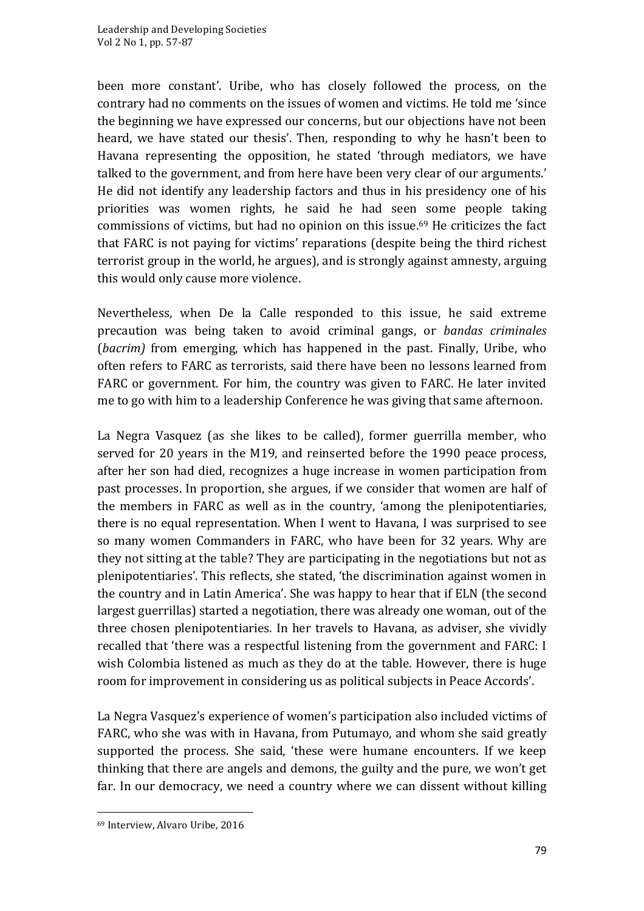been more constant'. Uribe, who has closely followed the process, on the contrary had no comments on the issues of women and victims. He told me 'since the beginning we have expressed our concerns, but our objections have not been heard, we have stated our thesis'. Then, responding to why he hasn't been to Havana representing the opposition, he stated 'through mediators, we have talked to the government, and from here have been very clear of our arguments.' He did not identify any leadership factors and thus in his presidency one of his priorities was women rights, he said he had seen some people taking commissions of victims, but had no opinion on this issue.<sup>69</sup> He criticizes the fact that FARC is not paying for victims' reparations (despite being the third richest terrorist group in the world, he argues), and is strongly against amnesty, arguing this would only cause more violence.

Nevertheless, when De la Calle responded to this issue, he said extreme precaution was being taken to avoid criminal gangs, or *bandas criminales* (*bacrim*) from emerging, which has happened in the past. Finally, Uribe, who often refers to FARC as terrorists, said there have been no lessons learned from FARC or government. For him, the country was given to FARC. He later invited me to go with him to a leadership Conference he was giving that same afternoon.

La Negra Vasquez (as she likes to be called), former guerrilla member, who served for 20 years in the M19, and reinserted before the 1990 peace process, after her son had died, recognizes a huge increase in women participation from past processes. In proportion, she argues, if we consider that women are half of the members in FARC as well as in the country, 'among the plenipotentiaries, there is no equal representation. When I went to Havana, I was surprised to see so many women Commanders in FARC, who have been for 32 years. Why are they not sitting at the table? They are participating in the negotiations but not as plenipotentiaries'. This reflects, she stated, 'the discrimination against women in the country and in Latin America'. She was happy to hear that if ELN (the second largest guerrillas) started a negotiation, there was already one woman, out of the three chosen plenipotentiaries. In her travels to Havana, as adviser, she vividly recalled that 'there was a respectful listening from the government and FARC: I wish Colombia listened as much as they do at the table. However, there is huge room for improvement in considering us as political subjects in Peace Accords'.

La Negra Vasquez's experience of women's participation also included victims of FARC, who she was with in Havana, from Putumayo, and whom she said greatly supported the process. She said, 'these were humane encounters. If we keep thinking that there are angels and demons, the guilty and the pure, we won't get far. In our democracy, we need a country where we can dissent without killing

 <sup>69</sup> Interview, Alvaro Uribe, 2016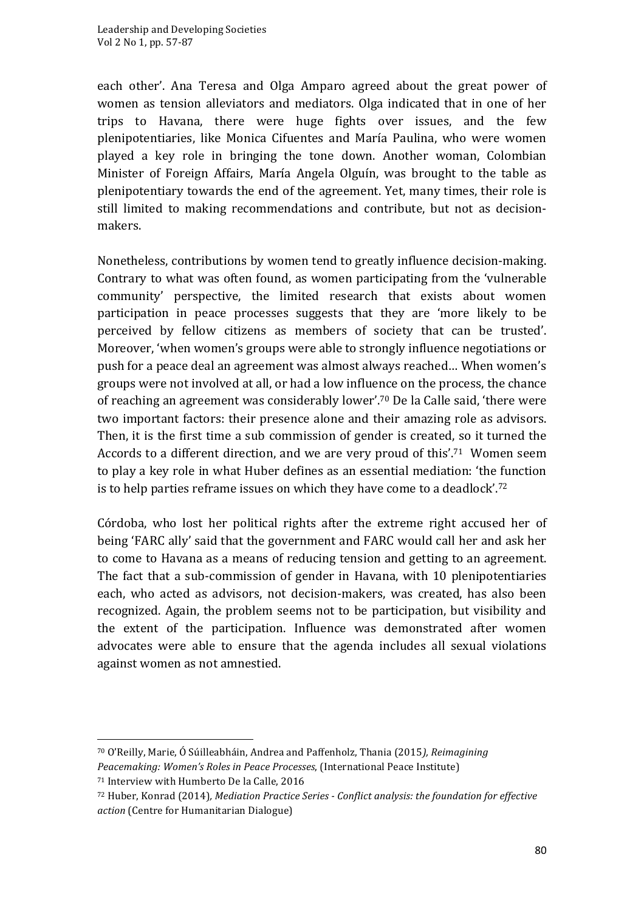each other'. Ana Teresa and Olga Amparo agreed about the great power of women as tension alleviators and mediators. Olga indicated that in one of her trips to Havana, there were huge fights over issues, and the few plenipotentiaries, like Monica Cifuentes and María Paulina, who were women played a key role in bringing the tone down. Another woman, Colombian Minister of Foreign Affairs, María Angela Olguín, was brought to the table as plenipotentiary towards the end of the agreement. Yet, many times, their role is still limited to making recommendations and contribute, but not as decisionmakers. 

Nonetheless, contributions by women tend to greatly influence decision-making. Contrary to what was often found, as women participating from the 'vulnerable community' perspective, the limited research that exists about women participation in peace processes suggests that they are 'more likely to be perceived by fellow citizens as members of society that can be trusted'. Moreover, 'when women's groups were able to strongly influence negotiations or push for a peace deal an agreement was almost always reached... When women's groups were not involved at all, or had a low influence on the process, the chance of reaching an agreement was considerably lower'.<sup>70</sup> De la Calle said, 'there were two important factors: their presence alone and their amazing role as advisors. Then, it is the first time a sub commission of gender is created, so it turned the Accords to a different direction, and we are very proud of this'.<sup>71</sup> Women seem to play a key role in what Huber defines as an essential mediation: 'the function is to help parties reframe issues on which they have come to a deadlock'.<sup>72</sup>

Córdoba, who lost her political rights after the extreme right accused her of being 'FARC ally' said that the government and FARC would call her and ask her to come to Havana as a means of reducing tension and getting to an agreement. The fact that a sub-commission of gender in Havana, with 10 plenipotentiaries each, who acted as advisors, not decision-makers, was created, has also been recognized. Again, the problem seems not to be participation, but visibility and the extent of the participation. Influence was demonstrated after women advocates were able to ensure that the agenda includes all sexual violations against women as not amnestied.

<sup>70</sup> O'Reilly, Marie, Ó Súilleabháin, Andrea and Paffenholz, Thania (2015), *Reimagining Peacemaking: Women's Roles in Peace Processes*, (International Peace Institute)

<sup>&</sup>lt;sup>71</sup> Interview with Humberto De la Calle, 2016

<sup>72</sup> Huber, Konrad (2014), Mediation Practice Series - Conflict analysis: the foundation for effective *action* (Centre for Humanitarian Dialogue)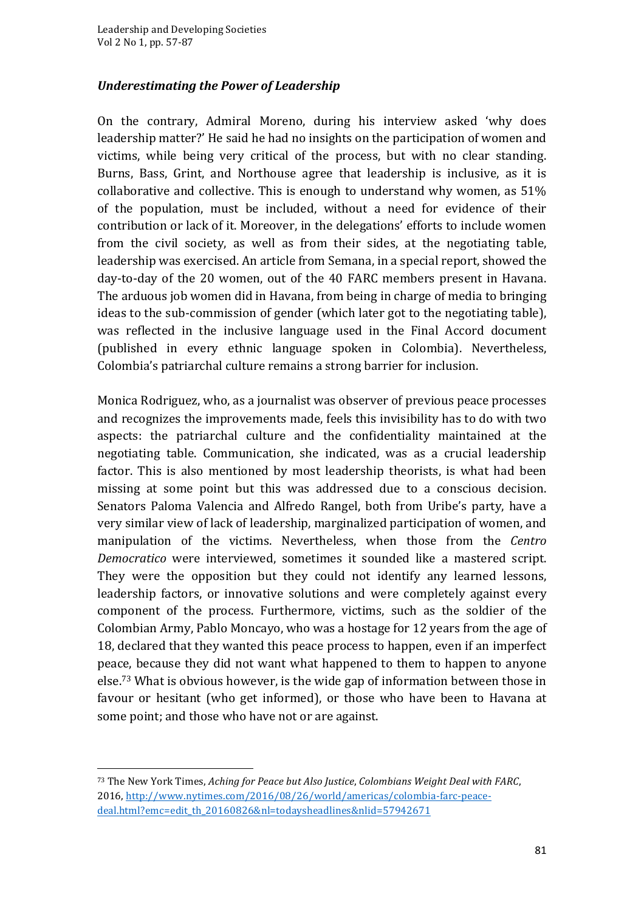### *Underestimating the Power of Leadership*

On the contrary, Admiral Moreno, during his interview asked 'why does leadership matter?' He said he had no insights on the participation of women and victims, while being very critical of the process, but with no clear standing. Burns, Bass, Grint, and Northouse agree that leadership is inclusive, as it is collaborative and collective. This is enough to understand why women, as  $51\%$ of the population, must be included, without a need for evidence of their contribution or lack of it. Moreover, in the delegations' efforts to include women from the civil society, as well as from their sides, at the negotiating table, leadership was exercised. An article from Semana, in a special report, showed the day-to-day of the 20 women, out of the 40 FARC members present in Havana. The arduous job women did in Havana, from being in charge of media to bringing ideas to the sub-commission of gender (which later got to the negotiating table), was reflected in the inclusive language used in the Final Accord document (published in every ethnic language spoken in Colombia). Nevertheless, Colombia's patriarchal culture remains a strong barrier for inclusion.

Monica Rodriguez, who, as a journalist was observer of previous peace processes and recognizes the improvements made, feels this invisibility has to do with two aspects: the patriarchal culture and the confidentiality maintained at the negotiating table. Communication, she indicated, was as a crucial leadership factor. This is also mentioned by most leadership theorists, is what had been missing at some point but this was addressed due to a conscious decision. Senators Paloma Valencia and Alfredo Rangel, both from Uribe's party, have a very similar view of lack of leadership, marginalized participation of women, and manipulation of the victims. Nevertheless, when those from the *Centro Democratico* were interviewed, sometimes it sounded like a mastered script. They were the opposition but they could not identify any learned lessons, leadership factors, or innovative solutions and were completely against every component of the process. Furthermore, victims, such as the soldier of the Colombian Army, Pablo Moncayo, who was a hostage for 12 years from the age of 18, declared that they wanted this peace process to happen, even if an imperfect peace, because they did not want what happened to them to happen to anyone else.<sup>73</sup> What is obvious however, is the wide gap of information between those in favour or hesitant (who get informed), or those who have been to Havana at some point; and those who have not or are against.

<sup>&</sup>lt;sup>73</sup> The New York Times, *Aching for Peace but Also Justice*, *Colombians Weight Deal with FARC*, 2016, http://www.nytimes.com/2016/08/26/world/americas/colombia-farc-peacedeal.html?emc=edit\_th\_20160826&nl=todaysheadlines&nlid=57942671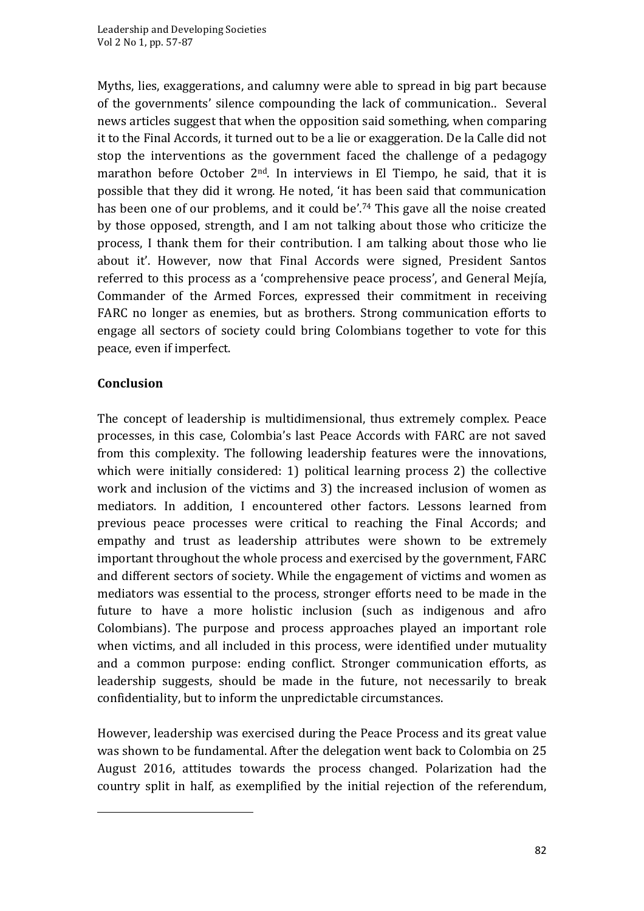Myths, lies, exaggerations, and calumny were able to spread in big part because of the governments' silence compounding the lack of communication.. Several news articles suggest that when the opposition said something, when comparing it to the Final Accords, it turned out to be a lie or exaggeration. De la Calle did not stop the interventions as the government faced the challenge of a pedagogy marathon before October  $2<sup>nd</sup>$ . In interviews in El Tiempo, he said, that it is possible that they did it wrong. He noted, 'it has been said that communication has been one of our problems, and it could be'.<sup>74</sup> This gave all the noise created by those opposed, strength, and I am not talking about those who criticize the process. I thank them for their contribution. I am talking about those who lie about it'. However, now that Final Accords were signed, President Santos referred to this process as a 'comprehensive peace process', and General Mejía, Commander of the Armed Forces, expressed their commitment in receiving FARC no longer as enemies, but as brothers. Strong communication efforts to engage all sectors of society could bring Colombians together to vote for this peace, even if imperfect.

# **Conclusion**

 

The concept of leadership is multidimensional, thus extremely complex. Peace processes, in this case, Colombia's last Peace Accords with FARC are not saved from this complexity. The following leadership features were the innovations, which were initially considered: 1) political learning process 2) the collective work and inclusion of the victims and 3) the increased inclusion of women as mediators. In addition, I encountered other factors. Lessons learned from previous peace processes were critical to reaching the Final Accords; and empathy and trust as leadership attributes were shown to be extremely important throughout the whole process and exercised by the government, FARC and different sectors of society. While the engagement of victims and women as mediators was essential to the process, stronger efforts need to be made in the future to have a more holistic inclusion (such as indigenous and afro Colombians). The purpose and process approaches played an important role when victims, and all included in this process, were identified under mutuality and a common purpose: ending conflict. Stronger communication efforts, as leadership suggests, should be made in the future, not necessarily to break confidentiality, but to inform the unpredictable circumstances.

However, leadership was exercised during the Peace Process and its great value was shown to be fundamental. After the delegation went back to Colombia on 25 August 2016, attitudes towards the process changed. Polarization had the country split in half, as exemplified by the initial rejection of the referendum,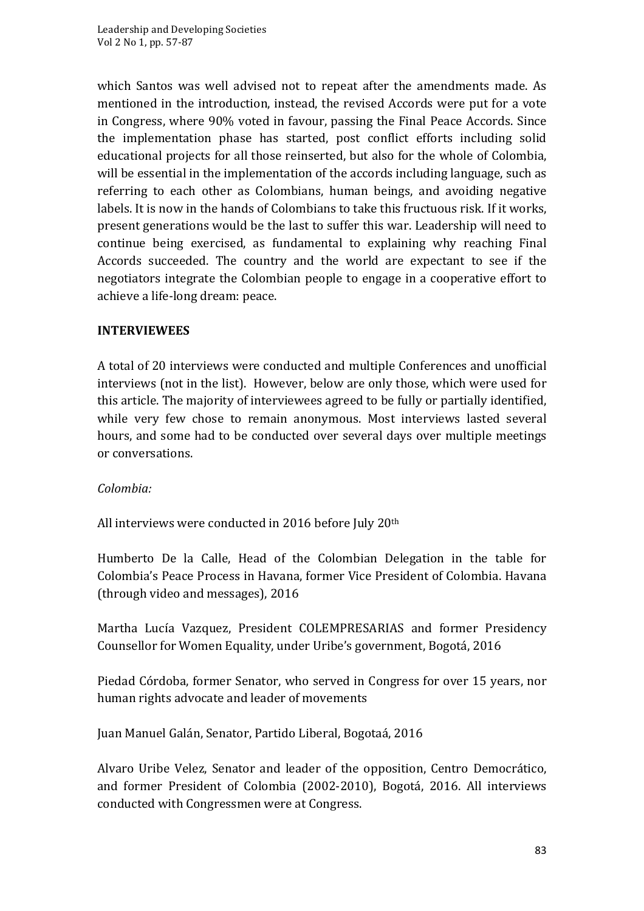which Santos was well advised not to repeat after the amendments made. As mentioned in the introduction, instead, the revised Accords were put for a vote in Congress, where 90% voted in favour, passing the Final Peace Accords. Since the implementation phase has started, post conflict efforts including solid educational projects for all those reinserted, but also for the whole of Colombia, will be essential in the implementation of the accords including language, such as referring to each other as Colombians, human beings, and avoiding negative labels. It is now in the hands of Colombians to take this fructuous risk. If it works, present generations would be the last to suffer this war. Leadership will need to continue being exercised, as fundamental to explaining why reaching Final Accords succeeded. The country and the world are expectant to see if the negotiators integrate the Colombian people to engage in a cooperative effort to achieve a life-long dream: peace.

### **INTERVIEWEES**

A total of 20 interviews were conducted and multiple Conferences and unofficial interviews (not in the list). However, below are only those, which were used for this article. The majority of interviewees agreed to be fully or partially identified, while very few chose to remain anonymous. Most interviews lasted several hours, and some had to be conducted over several days over multiple meetings or conversations. 

#### *Colombia:*

All interviews were conducted in 2016 before July  $20<sup>th</sup>$ 

Humberto De la Calle, Head of the Colombian Delegation in the table for Colombia's Peace Process in Havana, former Vice President of Colombia, Havana (through video and messages), 2016

Martha Lucía Vazquez, President COLEMPRESARIAS and former Presidency Counsellor for Women Equality, under Uribe's government, Bogotá, 2016

Piedad Córdoba, former Senator, who served in Congress for over 15 years, nor human rights advocate and leader of movements

Juan Manuel Galán, Senator, Partido Liberal, Bogotaá, 2016

Alvaro Uribe Velez, Senator and leader of the opposition, Centro Democrático, and former President of Colombia (2002-2010), Bogotá, 2016. All interviews conducted with Congressmen were at Congress.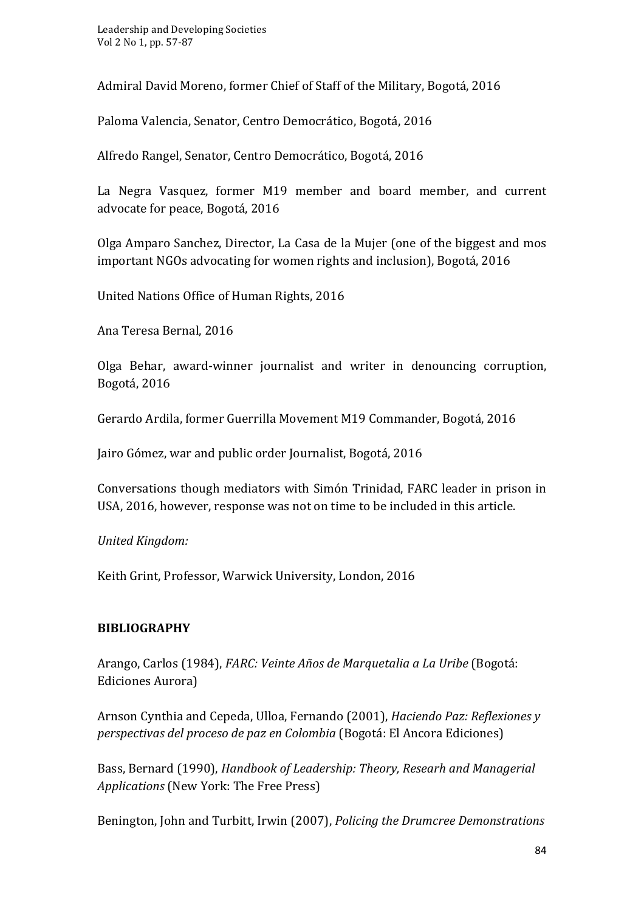Admiral David Moreno, former Chief of Staff of the Military, Bogotá, 2016

Paloma Valencia, Senator, Centro Democrático, Bogotá, 2016

Alfredo Rangel, Senator, Centro Democrático, Bogotá, 2016

La Negra Vasquez, former M19 member and board member, and current advocate for peace, Bogotá, 2016

Olga Amparo Sanchez, Director, La Casa de la Mujer (one of the biggest and mos important NGOs advocating for women rights and inclusion), Bogotá, 2016

United Nations Office of Human Rights, 2016

Ana Teresa Bernal, 2016

Olga Behar, award-winner journalist and writer in denouncing corruption, Bogotá, 2016

Gerardo Ardila, former Guerrilla Movement M19 Commander, Bogotá, 2016

Jairo Gómez, war and public order Journalist, Bogotá, 2016

Conversations though mediators with Simón Trinidad, FARC leader in prison in USA, 2016, however, response was not on time to be included in this article.

*United Kingdom:*

Keith Grint, Professor, Warwick University, London, 2016

# **BIBLIOGRAPHY**

Arango, Carlos (1984), *FARC: Veinte Años de Marquetalia a La Uribe* (Bogotá: Ediciones Aurora)

Arnson Cynthia and Cepeda, Ulloa, Fernando (2001), *Haciendo Paz: Reflexiones y perspectivas del proceso de paz en Colombia* (Bogotá: El Ancora Ediciones)

Bass, Bernard (1990), *Handbook of Leadership: Theory, Researh and Managerial Applications* (New York: The Free Press)

Benington, John and Turbitt, Irwin (2007), *Policing the Drumcree Demonstrations*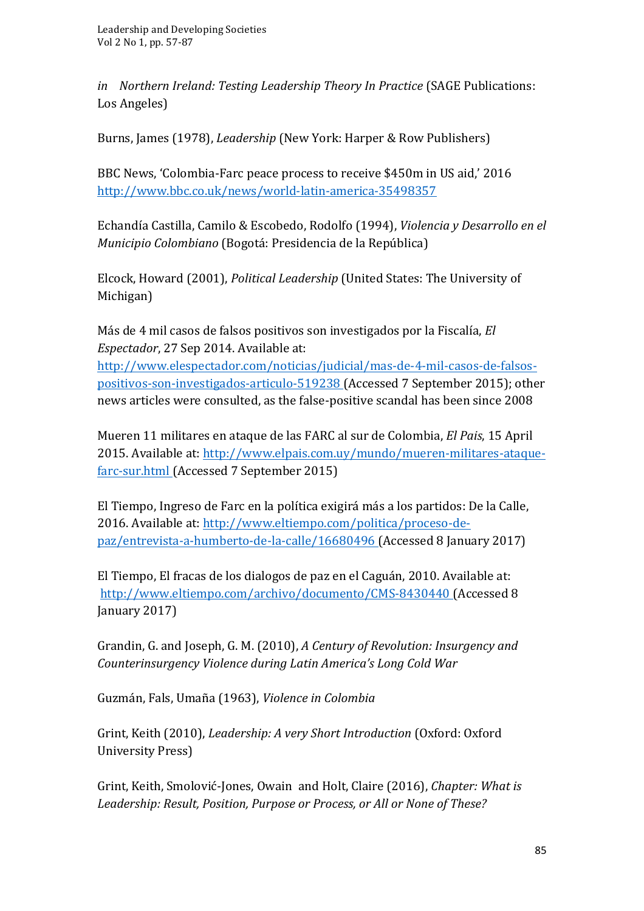*in* Northern Ireland: Testing Leadership Theory In Practice (SAGE Publications: Los Angeles)

Burns, James (1978), *Leadership* (New York: Harper & Row Publishers)

BBC News, 'Colombia-Farc peace process to receive \$450m in US aid,' 2016 http://www.bbc.co.uk/news/world-latin-america-35498357

Echandía Castilla, Camilo & Escobedo, Rodolfo (1994), *Violencia y Desarrollo en el Municipio Colombiano* (Bogotá: Presidencia de la República)

Elcock, Howard (2001), *Political Leadership* (United States: The University of Michigan)

Más de 4 mil casos de falsos positivos son investigados por la Fiscalía, *El Espectador*, 27 Sep 2014. Available at:

http://www.elespectador.com/noticias/judicial/mas-de-4-mil-casos-de-falsospositivos-son-investigados-articulo-519238 (Accessed 7 September 2015); other news articles were consulted, as the false-positive scandal has been since 2008

Mueren 11 militares en ataque de las FARC al sur de Colombia, *El Pais*, 15 April 2015. Available at: http://www.elpais.com.uy/mundo/mueren-militares-ataquefarc-sur.html (Accessed 7 September 2015)

El Tiempo, Ingreso de Farc en la política exigirá más a los partidos: De la Calle, 2016. Available at: http://www.eltiempo.com/politica/proceso-depaz/entrevista-a-humberto-de-la-calle/16680496 (Accessed 8 January 2017)

El Tiempo, El fracas de los dialogos de paz en el Caguán, 2010. Available at: http://www.eltiempo.com/archivo/documento/CMS-8430440 (Accessed 8 January 2017)

Grandin, G. and Joseph, G. M. (2010), *A Century of Revolution: Insurgency and Counterinsurgency Violence during Latin America's Long Cold War*

Guzmán, Fals, Umaña (1963), *Violence in Colombia* 

Grint, Keith (2010), *Leadership: A very Short Introduction* (Oxford: Oxford University Press)

Grint, Keith, Smolović-Jones, Owain and Holt, Claire (2016), *Chapter: What is* Leadership: Result, Position, Purpose or Process, or All or None of These?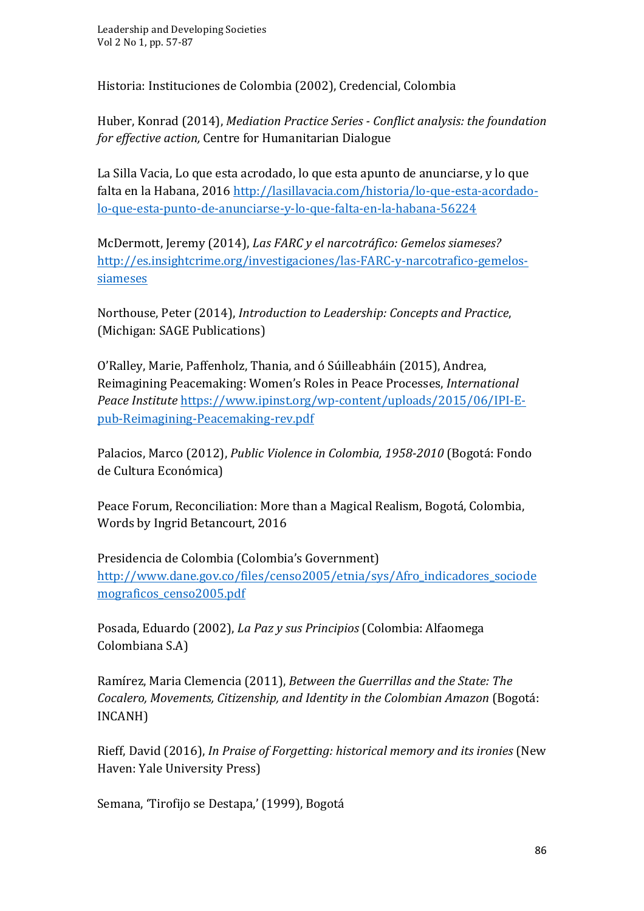Historia: Instituciones de Colombia (2002), Credencial, Colombia

Huber, Konrad (2014), *Mediation Practice Series - Conflict analysis: the foundation for effective action,* Centre for Humanitarian Dialogue

La Silla Vacia, Lo que esta acrodado, lo que esta apunto de anunciarse, y lo que falta en la Habana, 2016 http://lasillavacia.com/historia/lo-que-esta-acordadolo-que-esta-punto-de-anunciarse-y-lo-que-falta-en-la-habana-56224

McDermott, Jeremy (2014), *Las FARC y el narcotráfico: Gemelos siameses?* http://es.insightcrime.org/investigaciones/las-FARC-y-narcotrafico-gemelossiameses

Northouse, Peter (2014), *Introduction to Leadership: Concepts and Practice*, (Michigan: SAGE Publications)

O'Ralley, Marie, Paffenholz, Thania, and ó Súilleabháin (2015), Andrea, Reimagining Peacemaking: Women's Roles in Peace Processes, *International Peace Institute https://www.ipinst.org/wp-content/uploads/2015/06/IPI-E*pub-Reimagining-Peacemaking-rev.pdf

Palacios, Marco (2012), *Public Violence in Colombia, 1958-2010* (Bogotá: Fondo de Cultura Económica)

Peace Forum, Reconciliation: More than a Magical Realism, Bogotá, Colombia, Words by Ingrid Betancourt, 2016

Presidencia de Colombia (Colombia's Government) http://www.dane.gov.co/files/censo2005/etnia/sys/Afro\_indicadores\_sociode mograficos\_censo2005.pdf

Posada, Eduardo (2002), *La Paz y sus Principios* (Colombia: Alfaomega Colombiana S.A)

Ramírez, Maria Clemencia (2011), *Between the Guerrillas and the State: The Cocalero, Movements, Citizenship, and Identity in the Colombian Amazon* (Bogotá: INCANH)

Rieff, David (2016), *In Praise of Forgetting: historical memory and its ironies* (New Haven: Yale University Press)

Semana, 'Tirofijo se Destapa,' (1999), Bogotá